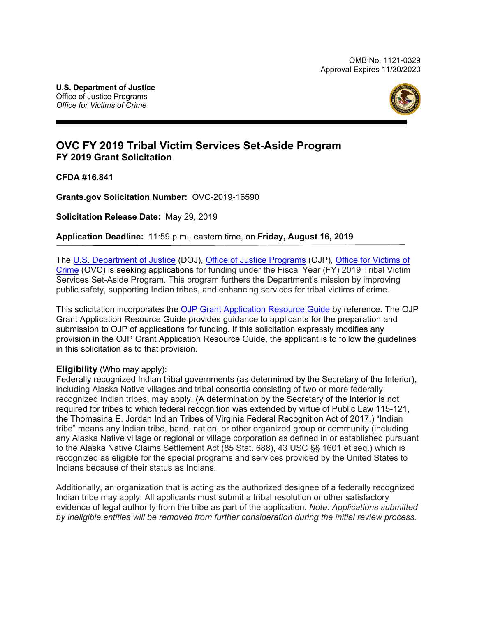

# **OVC FY 2019 Tribal Victim Services Set-Aside Program FY 2019 Grant Solicitation**

**CFDA #16.841** 

**[Grants.gov](https://Grants.gov) Solicitation Number:** OVC-2019-16590

 **Solicitation Release Date:** May 29*,* 2019

**Application Deadline:** 11:59 p.m., eastern time, on **Friday, August 16, 2019** 

 The [U.S. Department of Justice](https://www.usdoj.gov/) (DOJ), [Office of Justice Programs](https://www.ojp.gov/) (OJP), Office for [Victims of](http://www.ovc.gov/) [Crime](http://www.ovc.gov/) (OVC) is seeking applications for funding under the Fiscal Year (FY) 2019 Tribal Victim Services Set-Aside Program*.* This program furthers the Department's mission by improving public safety, supporting Indian tribes, and enhancing services for tribal victims of crime*.* 

This solicitation incorporates th[e OJP Grant Application Resource Guide](https://www.ojp.gov/funding/Apply/Resources/Grant-App-Resource-Guide.htm) by reference. The OJP Grant Application Resource Guide provides guidance to applicants for the preparation and submission to OJP of applications for funding. If this solicitation expressly modifies any provision in the OJP Grant Application Resource Guide, the applicant is to follow the guidelines in this solicitation as to that provision.

### **Eligibility** (Who may apply):

 to the Alaska Native Claims Settlement Act (85 Stat. 688), 43 USC §§ 1601 et seq.) which is Indians because of their status as Indians. Federally recognized Indian tribal governments (as determined by the Secretary of the Interior), including Alaska Native villages and tribal consortia consisting of two or more federally recognized Indian tribes, may apply. (A determination by the Secretary of the Interior is not required for tribes to which federal recognition was extended by virtue of Public Law 115-121, the Thomasina E. Jordan Indian Tribes of Virginia Federal Recognition Act of 2017.) "Indian tribe" means any Indian tribe, band, nation, or other organized group or community (including any Alaska Native village or regional or village corporation as defined in or established pursuant recognized as eligible for the special programs and services provided by the United States to

Additionally, an organization that is acting as the authorized designee of a federally recognized Indian tribe may apply. All applicants must submit a tribal resolution or other satisfactory evidence of legal authority from the tribe as part of the application. *Note: Applications submitted*  by ineligible entities will be removed from further consideration during the *initial review process.*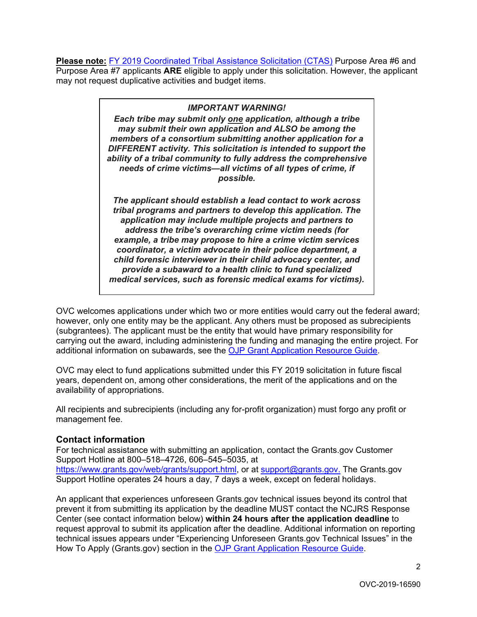**Please note:** [FY 2019 Coordinated Tribal Assistance Solicitation \(CTAS\)](https://www.justice.gov/tribal/page/file/1114606/download) Purpose Area #6 and Purpose Area #7 applicants **ARE** eligible to apply under this solicitation. However, the applicant may not request duplicative activities and budget items.

#### *IMPORTANT WARNING!*

*Each tribe may submit only one application, although a tribe may submit their own application and ALSO be among the members of a consortium submitting another application for a DIFFERENT activity. This solicitation is intended to support the ability of a tribal community to fully address the comprehensive needs of crime victims—all victims of all types of crime, if possible.* 

*The applicant should establish a lead contact to work across tribal programs and partners to develop this application. The application may include multiple projects and partners to address the tribe's overarching crime victim needs (for example, a tribe may propose to hire a crime victim services coordinator, a victim advocate in their police department, a child forensic interviewer in their child advocacy center, and provide a subaward to a health clinic to fund specialized medical services, such as forensic medical exams for victims).* 

OVC welcomes applications under which two or more entities would carry out the federal award; however, only one entity may be the applicant. Any others must be proposed as subrecipients (subgrantees). The applicant must be the entity that would have primary responsibility for carrying out the award, including administering the funding and managing the entire project. For additional information on subawards, see the [OJP Grant Application Resource Guide.](https://www.ojp.gov/funding/Apply/Resources/Grant-App-Resource-Guide.htm)

OVC may elect to fund applications submitted under this FY 2019 solicitation in future fiscal years, dependent on, among other considerations, the merit of the applications and on the availability of appropriations.

All recipients and subrecipients (including any for-profit organization) must forgo any profit or management fee.

#### **Contact information**

 [https://www.grants.gov/web/grants/support.html,](https://www.grants.gov/web/grants/support.html) or at [support@grants.gov.](mailto:support@grants.gov) The [Grants.gov](https://Grants.gov) For technical assistance with submitting an application, contact the [Grants.gov](https://Grants.gov) Customer Support Hotline at 800–518–4726, 606–545–5035, at Support Hotline operates 24 hours a day, 7 days a week, except on federal holidays.

How To Apply [\(Grants.gov\)](https://Grants.gov) section in the <u>OJP Grant Application Resource Guide</u>. An applicant that experiences unforeseen [Grants.gov](https://Grants.gov) technical issues beyond its control that prevent it from submitting its application by the deadline MUST contact the NCJRS Response Center (see contact information below) **within 24 hours after the application deadline** to request approval to submit its application after the deadline. Additional information on reporting technical issues appears under "Experiencing Unforeseen [Grants.gov](https://Grants.gov) Technical Issues" in the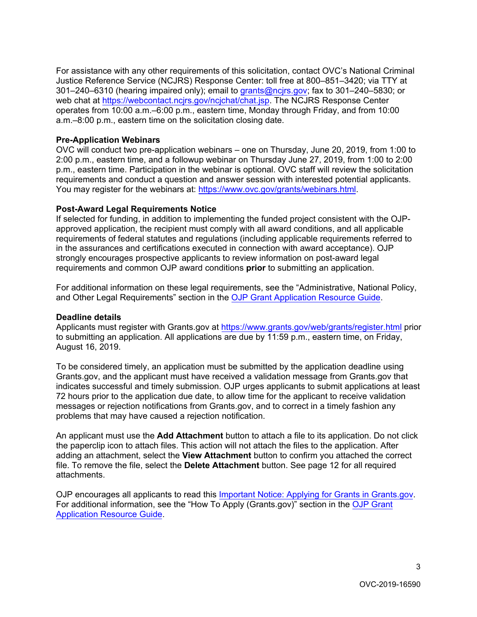For assistance with any other requirements of this solicitation, contact OVC's National Criminal Justice Reference Service (NCJRS) Response Center: toll free at 800–851–3420; via TTY at 301–240–6310 (hearing impaired only); email to [grants@ncjrs.gov;](mailto:grants@ncjrs.gov) fax to 301–240–5830; or web chat a[t https://webcontact.ncjrs.gov/ncjchat/chat.jsp.](https://webcontact.ncjrs.gov/ncjchat/chat.jsp) The NCJRS Response Center operates from 10:00 a.m.–6:00 p.m., eastern time, Monday through Friday, and from 10:00 a.m.–8:00 p.m., eastern time on the solicitation closing date.

#### **Pre-Application Webinars**

 OVC will conduct two pre-application webinars – one on Thursday, June 20, 2019, from 1:00 to You may register for the webinars at: <u>https://www.ovc.gov/grants/webinars.html</u>. 2:00 p.m., eastern time, and a followup webinar on Thursday June 27, 2019, from 1:00 to 2:00 p.m., eastern time. Participation in the webinar is optional. OVC staff will review the solicitation requirements and conduct a question and answer session with interested potential applicants.

#### **Post-Award Legal Requirements Notice**

If selected for funding, in addition to implementing the funded project consistent with the OJPapproved application, the recipient must comply with all award conditions, and all applicable requirements of federal statutes and regulations (including applicable requirements referred to in the assurances and certifications executed in connection with award acceptance). OJP strongly encourages prospective applicants to review information on post-award legal requirements and common OJP award conditions **prior** to submitting an application.

For additional information on these legal requirements, see the "Administrative, National Policy, and Other Legal Requirements" section in th[e OJP Grant Application Resource Guide.](https://www.ojp.gov/funding/Apply/Resources/Grant-App-Resource-Guide.htm) 

### **Deadline details**

 to submitting an application. All applications are due by 11:59 p.m., eastern time, on Friday, August 16, 2019. Applicants must register with [Grants.gov](https://Grants.gov) a[t https://www.grants.gov/web/grants/register.html](https://www.grants.gov/web/grants/register.html) prior

To be considered timely, an application must be submitted by the application deadline using [Grants.gov,](https://Grants.gov) and the applicant must have received a validation message from [Grants.gov](https://Grants.gov) that indicates successful and timely submission. OJP urges applicants to submit applications at least 72 hours prior to the application due date, to allow time for the applicant to receive validation messages or rejection notifications from [Grants.gov,](https://Grants.gov) and to correct in a timely fashion any problems that may have caused a rejection notification.

 file. To remove the file, select the **Delete Attachment** button. See page 12 for all required attachments. An applicant must use the **Add Attachment** button to attach a file to its application. Do not click the paperclip icon to attach files. This action will not attach the files to the application. After adding an attachment, select the **View Attachment** button to confirm you attached the correct

OJP encourages all applicants to read this [Important Notice: Applying for Grants in Grants.gov.](https://ojp.gov/funding/Apply/Grants-govInfo.htm)  For additional information, see the "How To Apply [\(Grants.gov](https://Grants.gov))" section in the [OJP Grant](https://www.ojp.gov/funding/Apply/Resources/Grant-App-Resource-Guide.htm)  [Application Resource Guide.](https://www.ojp.gov/funding/Apply/Resources/Grant-App-Resource-Guide.htm)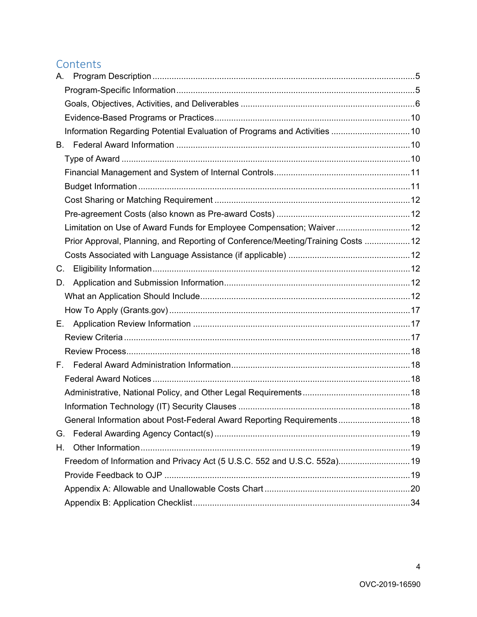# **Contents**

| А.                                                                               |  |
|----------------------------------------------------------------------------------|--|
|                                                                                  |  |
|                                                                                  |  |
|                                                                                  |  |
|                                                                                  |  |
| В.                                                                               |  |
|                                                                                  |  |
|                                                                                  |  |
|                                                                                  |  |
|                                                                                  |  |
|                                                                                  |  |
| Limitation on Use of Award Funds for Employee Compensation; Waiver 12            |  |
| Prior Approval, Planning, and Reporting of Conference/Meeting/Training Costs  12 |  |
|                                                                                  |  |
| C.                                                                               |  |
| D.                                                                               |  |
|                                                                                  |  |
|                                                                                  |  |
| E. .                                                                             |  |
|                                                                                  |  |
|                                                                                  |  |
| F.                                                                               |  |
|                                                                                  |  |
|                                                                                  |  |
|                                                                                  |  |
| General Information about Post-Federal Award Reporting Requirements 18           |  |
| G.                                                                               |  |
| Η.                                                                               |  |
| Freedom of Information and Privacy Act (5 U.S.C. 552 and U.S.C. 552a) 19         |  |
|                                                                                  |  |
|                                                                                  |  |
|                                                                                  |  |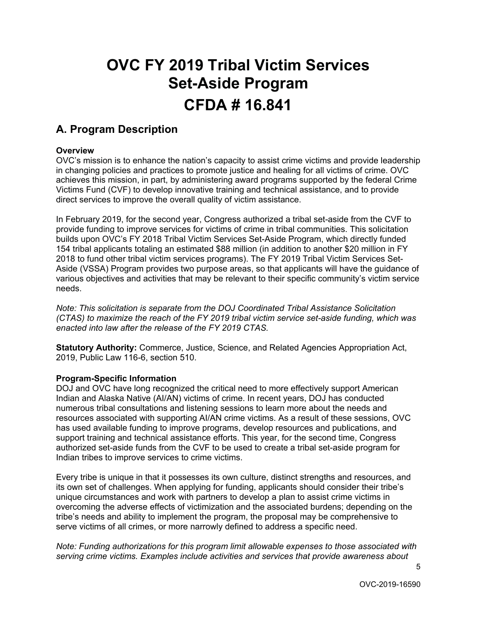# **OVC FY 2019 Tribal Victim Services**   **Set-Aside Program CFDA # 16.841 A. Program Description**

#### <span id="page-4-0"></span>**Overview**

 Victims Fund (CVF) to develop innovative training and technical assistance, and to provide OVC's mission is to enhance the nation's capacity to assist crime victims and provide leadership in changing policies and practices to promote justice and healing for all victims of crime. OVC achieves this mission, in part, by administering award programs supported by the federal Crime direct services to improve the overall quality of victim assistance.

 154 tribal applicants totaling an estimated \$88 million (in addition to another \$20 million in FY Aside (VSSA) Program provides two purpose areas, so that applicants will have the guidance of various objectives and activities that may be relevant to their specific community's victim service In February 2019, for the second year, Congress authorized a tribal set-aside from the CVF to provide funding to improve services for victims of crime in tribal communities. This solicitation builds upon OVC's FY 2018 Tribal Victim Services Set-Aside Program, which directly funded 2018 to fund other tribal victim services programs). The FY 2019 Tribal Victim Services Setneeds.

*Note: This solicitation is separate from the DOJ Coordinated Tribal Assistance Solicitation (CTAS) to maximize the reach of the FY 2019 tribal victim service set-aside funding, which was enacted into law after the release of the FY 2019 CTAS.* 

**Statutory Authority:** Commerce, Justice, Science, and Related Agencies Appropriation Act, 2019, Public Law 116-6, section 510.

#### <span id="page-4-1"></span>**Program-Specific Information**

Indian tribes to improve services to crime victims. DOJ and OVC have long recognized the critical need to more effectively support American Indian and Alaska Native (AI/AN) victims of crime. In recent years, DOJ has conducted numerous tribal consultations and listening sessions to learn more about the needs and resources associated with supporting AI/AN crime victims. As a result of these sessions, OVC has used available funding to improve programs, develop resources and publications, and support training and technical assistance efforts. This year, for the second time, Congress authorized set-aside funds from the CVF to be used to create a tribal set-aside program for

 its own set of challenges. When applying for funding, applicants should consider their tribe's Every tribe is unique in that it possesses its own culture, distinct strengths and resources, and unique circumstances and work with partners to develop a plan to assist crime victims in overcoming the adverse effects of victimization and the associated burdens; depending on the tribe's needs and ability to implement the program, the proposal may be comprehensive to serve victims of all crimes, or more narrowly defined to address a specific need.

*Note: Funding authorizations for this program limit allowable expenses to those associated with serving crime victims. Examples include activities and services that provide awareness about*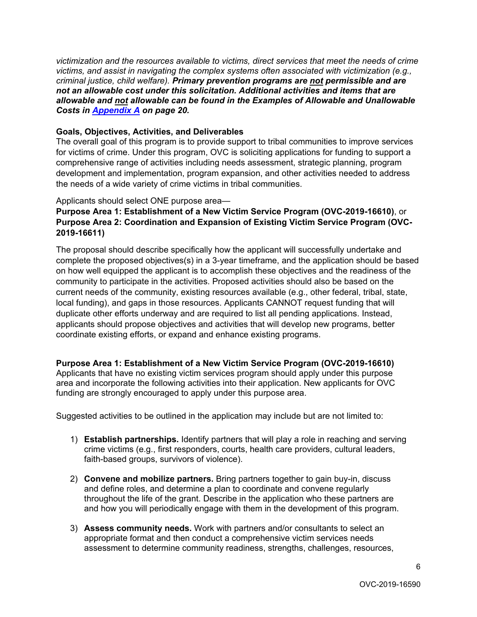*victimization and the resources available to victims, direct services that meet the needs of crime victims, and assist in navigating the complex systems often associated with victimization (e.g., criminal justice, child welfare). Primary prevention programs are not permissible and are not an allowable cost under this solicitation. Additional activities and items that are allowable and not allowable can be found in the Examples of Allowable and Unallowable Costs in [Appendix A](#page-19-0) on page 20.* 

#### <span id="page-5-0"></span>**Goals, Objectives, Activities, and Deliverables**

 for victims of crime. Under this program, OVC is soliciting applications for funding to support a the needs of a wide variety of crime victims in tribal communities.<br>Applicants should select ONE purpose area— The overall goal of this program is to provide support to tribal communities to improve services comprehensive range of activities including needs assessment, strategic planning, program development and implementation, program expansion, and other activities needed to address

### **Purpose Area 1: Establishment of a New Victim Service Program (OVC-2019-16610)**, or **2019-16611) Purpose Area 2: Coordination and Expansion of Existing Victim Service Program (OVC-**

The proposal should describe specifically how the applicant will successfully undertake and complete the proposed objectives(s) in a 3-year timeframe, and the application should be based on how well equipped the applicant is to accomplish these objectives and the readiness of the community to participate in the activities. Proposed activities should also be based on the current needs of the community, existing resources available (e.g., other federal, tribal, state, local funding), and gaps in those resources. Applicants CANNOT request funding that will duplicate other efforts underway and are required to list all pending applications. Instead, applicants should propose objectives and activities that will develop new programs, better coordinate existing efforts, or expand and enhance existing programs.

 area and incorporate the following activities into their application. New applicants for OVC **Purpose Area 1: Establishment of a New Victim Service Program (OVC-2019-16610)** Applicants that have no existing victim services program should apply under this purpose funding are strongly encouraged to apply under this purpose area.

Suggested activities to be outlined in the application may include but are not limited to:

- 1) **Establish partnerships.** Identify partners that will play a role in reaching and serving faith-based groups, survivors of violence). crime victims (e.g., first responders, courts, health care providers, cultural leaders,
- faith-based groups, survivors of violence). 2) **Convene and mobilize partners.** Bring partners together to gain buy-in, discuss and define roles, and determine a plan to coordinate and convene regularly and how you will periodically engage with them in the development of this program. throughout the life of the grant. Describe in the application who these partners are
- 3) **Assess community needs.** Work with partners and/or consultants to select an appropriate format and then conduct a comprehensive victim services needs assessment to determine community readiness, strengths, challenges, resources,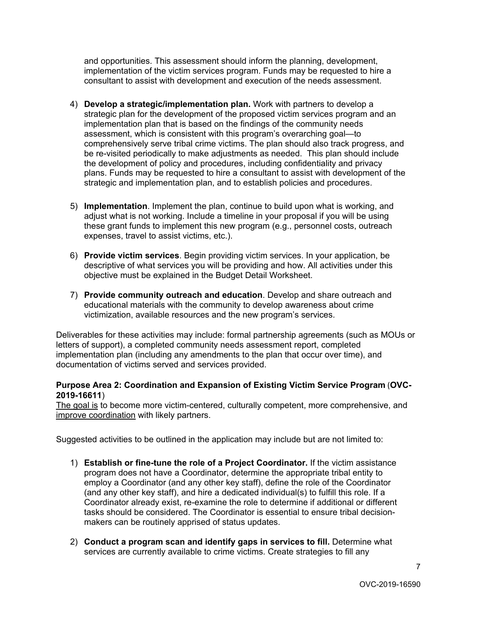and opportunities. This assessment should inform the planning, development, implementation of the victim services program. Funds may be requested to hire a consultant to assist with development and execution of the needs assessment.

- 4) **Develop a strategic/implementation plan.** Work with partners to develop a strategic plan for the development of the proposed victim services program and an implementation plan that is based on the findings of the community needs assessment, which is consistent with this program's overarching goal—to comprehensively serve tribal crime victims. The plan should also track progress, and be re-visited periodically to make adjustments as needed. This plan should include the development of policy and procedures, including confidentiality and privacy plans. Funds may be requested to hire a consultant to assist with development of the strategic and implementation plan, and to establish policies and procedures.
- 5) **Implementation**. Implement the plan, continue to build upon what is working, and adjust what is not working. Include a timeline in your proposal if you will be using these grant funds to implement this new program (e.g., personnel costs, outreach expenses, travel to assist victims, etc.).
- descriptive of what services you will be providing and how. All activities under this 6) **Provide victim services**. Begin providing victim services. In your application, be objective must be explained in the Budget Detail Worksheet.
- 7) **Provide community outreach and education**. Develop and share outreach and educational materials with the community to develop awareness about crime victimization, available resources and the new program's services.

 Deliverables for these activities may include: formal partnership agreements (such as MOUs or implementation plan (including any amendments to the plan that occur over time), and documentation of victims served and services provided. letters of support), a completed community needs assessment report, completed

#### **Purpose Area 2: Coordination and Expansion of Existing Victim Service Program** (**OVC-2019-16611**)

 The goal is to become more victim-centered, culturally competent, more comprehensive, and improve coordination with likely partners.

Suggested activities to be outlined in the application may include but are not limited to:

- 1) **Establish or fine-tune the role of a Project Coordinator.** If the victim assistance program does not have a Coordinator, determine the appropriate tribal entity to employ a Coordinator (and any other key staff), define the role of the Coordinator (and any other key staff), and hire a dedicated individual(s) to fulfill this role. If a Coordinator already exist, re-examine the role to determine if additional or different tasks should be considered. The Coordinator is essential to ensure tribal decisionmakers can be routinely apprised of status updates.
- services are currently available to crime victims. Create strategies to fill any 2) **Conduct a program scan and identify gaps in services to fill.** Determine what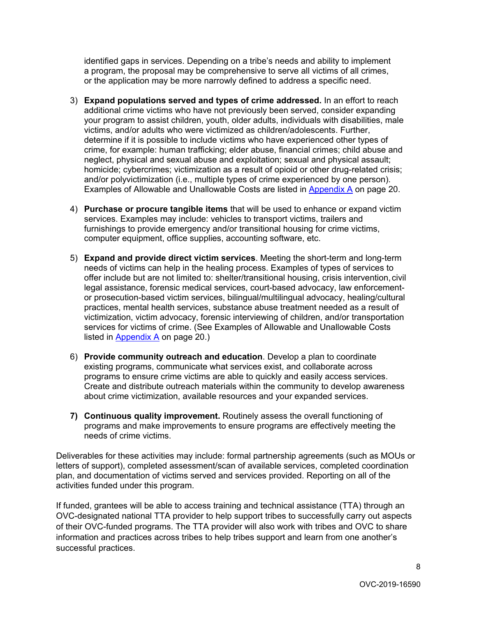identified gaps in services. Depending on a tribe's needs and ability to implement a program, the proposal may be comprehensive to serve all victims of all crimes, or the application may be more narrowly defined to address a specific need.

- your program to assist children, youth, older adults, individuals with disabilities, male determine if it is possible to include victims who have experienced other types of 3) **Expand populations served and types of crime addressed.** In an effort to reach additional crime victims who have not previously been served, consider expanding victims, and/or adults who were victimized as children/adolescents. Further, crime, for example: human trafficking; elder abuse, financial crimes; child abuse and neglect, physical and sexual abuse and exploitation; sexual and physical assault; homicide; cybercrimes; victimization as a result of opioid or other drug-related crisis; and/or polyvictimization (i.e., multiple types of crime experienced by one person). Examples of Allowable and Unallowable Costs are listed in [Appendix A](#page-19-0) on page 20.
- 4) **Purchase or procure tangible items** that will be used to enhance or expand victim services. Examples may include: vehicles to transport victims, trailers and furnishings to provide emergency and/or transitional housing for crime victims, computer equipment, office supplies, accounting software, etc.
- needs of victims can help in the healing process. Examples of types of services to offer include but are not limited to: shelter/transitional housing, crisis intervention,civil 5) **Expand and provide direct victim services**. Meeting the short-term and long-term legal assistance, forensic medical services, court-based advocacy, law enforcementor prosecution-based victim services, bilingual/multilingual advocacy, healing/cultural practices, mental health services, substance abuse treatment needed as a result of victimization, victim advocacy, forensic interviewing of children, and/or transportation services for victims of crime. (See Examples of Allowable and Unallowable Costs listed in [Appendix A](#page-19-0) on page 20.)
- 6) **Provide community outreach and education**. Develop a plan to coordinate existing programs, communicate what services exist, and collaborate across programs to ensure crime victims are able to quickly and easily access services. Create and distribute outreach materials within the community to develop awareness about crime victimization, available resources and your expanded services.
- **7) Continuous quality improvement.** Routinely assess the overall functioning of programs and make improvements to ensure programs are effectively meeting the needs of crime victims.

Deliverables for these activities may include: formal partnership agreements (such as MOUs or letters of support), completed assessment/scan of available services, completed coordination plan, and documentation of victims served and services provided. Reporting on all of the activities funded under this program.

 If funded, grantees will be able to access training and technical assistance (TTA) through an OVC-designated national TTA provider to help support tribes to successfully carry out aspects of their OVC-funded programs. The TTA provider will also work with tribes and OVC to share information and practices across tribes to help tribes support and learn from one another's successful practices.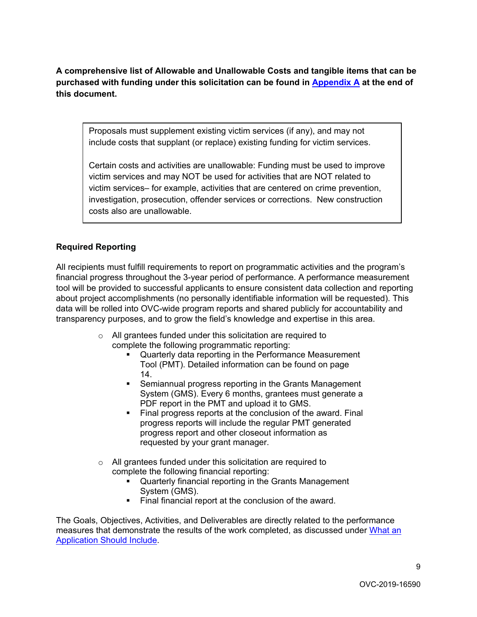**A comprehensive list of Allowable and Unallowable Costs and tangible items that can be purchased with funding under this solicitation can be found in [Appendix A](#page-19-0) at the end of this document.** 

Proposals must supplement existing victim services (if any), and may not include costs that supplant (or replace) existing funding for victim services.

Certain costs and activities are unallowable: Funding must be used to improve victim services and may NOT be used for activities that are NOT related to victim services– for example, activities that are centered on crime prevention, investigation, prosecution, offender services or corrections. New construction costs also are unallowable.

## **Required Reporting**

 financial progress throughout the 3-year period of performance. A performance measurement All recipients must fulfill requirements to report on programmatic activities and the program's tool will be provided to successful applicants to ensure consistent data collection and reporting about project accomplishments (no personally identifiable information will be requested). This data will be rolled into OVC-wide program reports and shared publicly for accountability and transparency purposes, and to grow the field's knowledge and expertise in this area.

- o All grantees funded under this solicitation are required to complete the following programmatic reporting:
	- Quarterly data reporting in the Performance Measurement Tool (PMT). Detailed information can be found on page 14.
	- Semiannual progress reporting in the Grants Management System (GMS). Every 6 months, grantees must generate a PDF report in the PMT and upload it to GMS.
	- Final progress reports at the conclusion of the award. Final progress reports will include the regular PMT generated progress report and other closeout information as requested by your grant manager.
- o All grantees funded under this solicitation are required to complete the following financial reporting:
	- Quarterly financial reporting in the Grants Management System (GMS).
	- Final financial report at the conclusion of the award.

The Goals, Objectives, Activities, and Deliverables are directly related to the performance measures that demonstrate the results of the work completed, as discussed under [What an](#page-11-6)  [Application Should Include.](#page-11-6)

 $\alpha$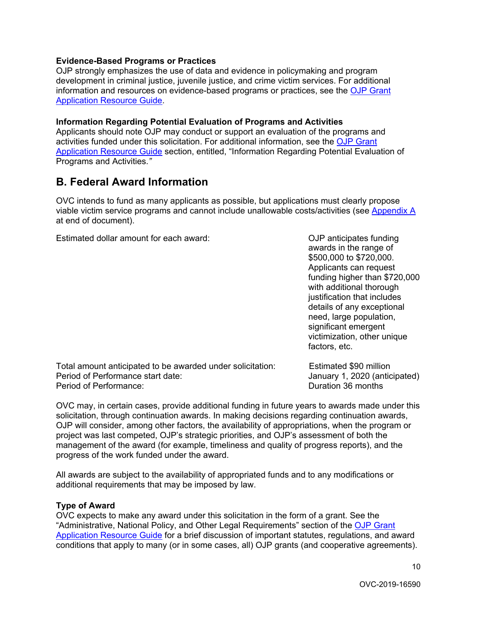#### <span id="page-9-0"></span>**Evidence-Based Programs or Practices**

OJP strongly emphasizes the use of data and evidence in policymaking and program development in criminal justice, juvenile justice, and crime victim services. For additional information and resources on evidence-based programs or practices, see the [OJP Grant](https://www.ojp.gov/funding/Apply/Resources/Grant-App-Resource-Guide.htm)  [Application Resource Guide.](https://www.ojp.gov/funding/Apply/Resources/Grant-App-Resource-Guide.htm)

#### <span id="page-9-1"></span>**Information Regarding Potential Evaluation of Programs and Activities**

Applicants should note OJP may conduct or support an evaluation of the programs and activities funded under this solicitation. For additional information, see the [OJP Grant](https://www.ojp.gov/funding/Apply/Resources/Grant-App-Resource-Guide.htm)  [Application Resource Guide](https://www.ojp.gov/funding/Apply/Resources/Grant-App-Resource-Guide.htm) section, entitled, "Information Regarding Potential Evaluation of Programs and Activities.*"* 

# <span id="page-9-2"></span>**B. Federal Award Information**

OVC intends to fund as many applicants as possible, but applications must clearly propose viable victim service programs and cannot include unallowable costs/activities (see [Appendix A](#page-19-0)  at end of document).

Estimated dollar amount for each award: Commonly and Common DuP anticipates funding

awards in the range of \$500,000 to \$720,000. Applicants can request funding higher than \$720,000 with additional thorough justification that includes details of any exceptional need, large population, significant emergent victimization, other unique factors, etc.

| Total amount anticipated to be awarded under solicitation: | Estimated \$90 million        |
|------------------------------------------------------------|-------------------------------|
| Period of Performance start date:                          | January 1, 2020 (anticipated) |
| Period of Performance:                                     | Duration 36 months            |

OVC may, in certain cases, provide additional funding in future years to awards made under this solicitation, through continuation awards. In making decisions regarding continuation awards, OJP will consider, among other factors, the availability of appropriations, when the program or project was last competed, OJP's strategic priorities, and OJP's assessment of both the management of the award (for example, timeliness and quality of progress reports), and the progress of the work funded under the award.

All awards are subject to the availability of appropriated funds and to any modifications or additional requirements that may be imposed by law.

#### <span id="page-9-3"></span>**Type of Award**

 OVC expects to make any award under this solicitation in the form of a grant. See the <u>Application Resource Guide</u> for a brief discussion of important statutes, regulations, and award "Administrative, National Policy, and Other Legal Requirements" section of the [OJP Grant](https://ojp.gov/funding/Apply/Resources/Grant-App-Resource-Guide.htm)  conditions that apply to many (or in some cases, all) OJP grants (and cooperative agreements).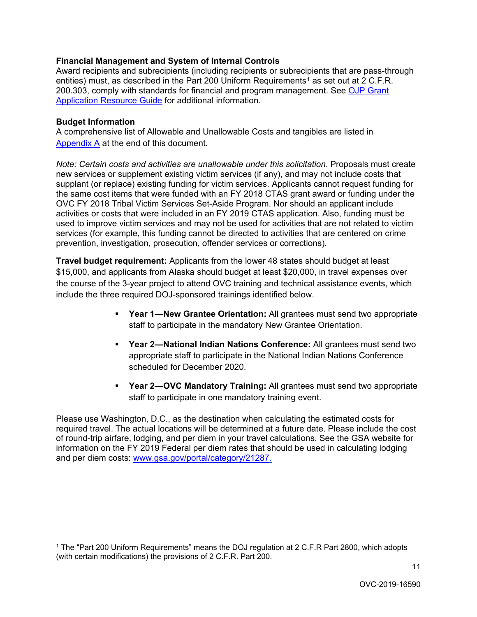#### <span id="page-10-0"></span>**Financial Management and System of Internal Controls**

entities) must, as described in the Part 200 Uniform Requirements<sup>[1](#page-10-3)</sup> as set out at 2 C.F.R. [Application Resource Guide](https://www.ojp.gov/funding/Apply/Resources/Grant-App-Resource-Guide.htm) for additional information. Award recipients and subrecipients (including recipients or subrecipients that are pass-through 200.303, comply with standards for financial and program management. See [OJP Grant](https://www.ojp.gov/funding/Apply/Resources/Grant-App-Resource-Guide.htm) 

#### <span id="page-10-1"></span>**Budget Information**

-

A comprehensive list of Allowable and Unallowable Costs and tangibles are listed in [Appendix A](#page-19-0) at the end of this document**.** 

 new services or supplement existing victim services (if any), and may not include costs that activities or costs that were included in an FY 2019 CTAS application. Also, funding must be used to improve victim services and may not be used for activities that are not related to victim *Note: Certain costs and activities are unallowable under this solicitation*. Proposals must create supplant (or replace) existing funding for victim services. Applicants cannot request funding for the same cost items that were funded with an FY 2018 CTAS grant award or funding under the OVC FY 2018 Tribal Victim Services Set-Aside Program. Nor should an applicant include services (for example, this funding cannot be directed to activities that are centered on crime prevention, investigation, prosecution, offender services or corrections).

 \$15,000, and applicants from Alaska should budget at least \$20,000, in travel expenses over **Travel budget requirement:** Applicants from the lower 48 states should budget at least the course of the 3-year project to attend OVC training and technical assistance events, which include the three required DOJ-sponsored trainings identified below.

- staff to participate in the mandatory New Grantee Orientation. **Year 1—New Grantee Orientation:** All grantees must send two appropriate
- **Year 2—National Indian Nations Conference:** All grantees must send two appropriate staff to participate in the National Indian Nations Conference scheduled for December 2020.
- **Year 2—OVC Mandatory Training:** All grantees must send two appropriate staff to participate in one mandatory training event.

<span id="page-10-2"></span>Please use Washington, D.C., as the destination when calculating the estimated costs for required travel. The actual locations will be determined at a future date. Please include the cost of round-trip airfare, lodging, and per diem in your travel calculations. See the GSA website for information on the FY 2019 Federal per diem rates that should be used in calculating lodging and per diem costs: [www.gsa.gov/portal/category/21287.](http://www.gsa.gov/portal/category/21287)

<span id="page-10-3"></span><sup>&</sup>lt;sup>1</sup> The "Part 200 Uniform Requirements" means the DOJ regulation at 2 C.F.R Part 2800, which adopts (with certain modifications) the provisions of 2 C.F.R. Part 200.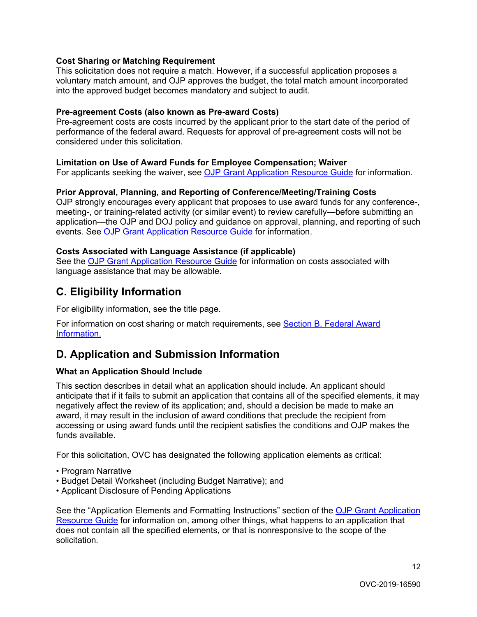#### **Cost Sharing or Matching Requirement**

This solicitation does not require a match. However, if a successful application proposes a voluntary match amount, and OJP approves the budget, the total match amount incorporated into the approved budget becomes mandatory and subject to audit.

#### <span id="page-11-0"></span>**Pre-agreement Costs (also known as Pre-award Costs)**

Pre-agreement costs are costs incurred by the applicant prior to the start date of the period of performance of the federal award. Requests for approval of pre-agreement costs will not be considered under this solicitation.

#### <span id="page-11-1"></span>**Limitation on Use of Award Funds for Employee Compensation; Waiver**

For applicants seeking the waiver, see [OJP Grant Application Resource Guide](https://www.ojp.gov/funding/Apply/Resources/Grant-App-Resource-Guide.htm) for information.

#### <span id="page-11-2"></span>**Prior Approval, Planning, and Reporting of Conference/Meeting/Training Costs**

OJP strongly encourages every applicant that proposes to use award funds for any conference-, meeting-, or training-related activity (or similar event) to review carefully—before submitting an application—the OJP and DOJ policy and guidance on approval, planning, and reporting of such events. See [OJP Grant Application Resource Guide](https://www.ojp.gov/funding/Apply/Resources/Grant-App-Resource-Guide.htm) for information.

#### <span id="page-11-3"></span>**Costs Associated with Language Assistance (if applicable)**

See the [OJP Grant Application Resource Guide](https://www.ojp.gov/funding/Apply/Resources/Grant-App-Resource-Guide.htm) for information on costs associated with language assistance that may be allowable.

# <span id="page-11-4"></span>**C. Eligibility Information**

For eligibility information, see the title page.

For information on cost sharing or match requirements, see [Section B. Federal Award](#page-10-2)  [Information.](#page-10-2) 

# <span id="page-11-5"></span>**D. Application and Submission Information**

#### <span id="page-11-6"></span>**What an Application Should Include**

negatively affect the review of its application; and, should a decision be made to make an This section describes in detail what an application should include. An applicant should anticipate that if it fails to submit an application that contains all of the specified elements, it may award, it may result in the inclusion of award conditions that preclude the recipient from accessing or using award funds until the recipient satisfies the conditions and OJP makes the funds available.

For this solicitation, OVC has designated the following application elements as critical:<br>• Program Narrative

- 
- Budget Detail Worksheet (including Budget Narrative); and
- Applicant Disclosure of Pending Applications

See the "Application Elements and Formatting Instructions" section of the [OJP Grant Application](https://ojp.gov/funding/Apply/Resources/Grant-App-Resource-Guide.htm)  [Resource Guide](https://ojp.gov/funding/Apply/Resources/Grant-App-Resource-Guide.htm) for information on, among other things, what happens to an application that does not contain all the specified elements, or that is nonresponsive to the scope of the solicitation*.*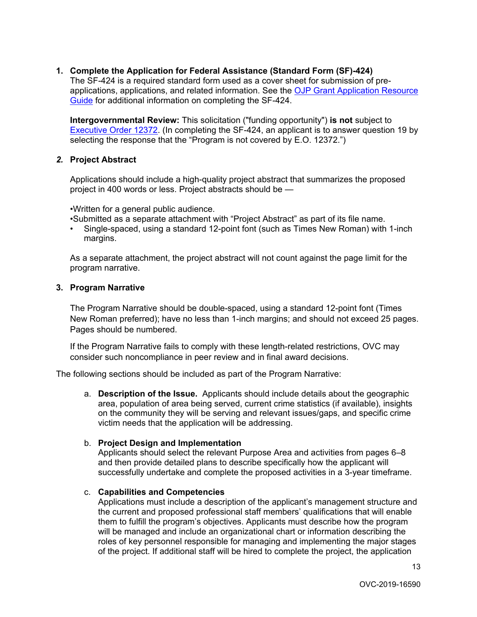#### **1. Complete the Application for Federal Assistance (Standard Form (SF)-424)**

The SF-424 is a required standard form used as a cover sheet for submission of preapplications, applications, and related information. See the [OJP Grant Application Resource](https://www.ojp.gov/funding/Apply/Resources/Grant-App-Resource-Guide.htm)  [Guide](https://www.ojp.gov/funding/Apply/Resources/Grant-App-Resource-Guide.htm) for additional information on completing the SF-424.

 selecting the response that the "Program is not covered by E.O. 12372.") **Intergovernmental Review:** This solicitation ("funding opportunity") **is not** subject to [Executive Order 12372.](https://www.archives.gov/federal-register/codification/executive-order/12372.html) (In completing the SF-424, an applicant is to answer question 19 by

#### *2.* **Project Abstract**

 project in 400 words or less. Project abstracts should be — Applications should include a high-quality project abstract that summarizes the proposed

•Written for a general public audience.

•Submitted as a separate attachment with "Project Abstract" as part of its file name.

• Single-spaced, using a standard 12-point font (such as Times New Roman) with 1-inch margins.

As a separate attachment, the project abstract will not count against the page limit for the program narrative.

#### **3. Program Narrative**

The Program Narrative should be double-spaced, using a standard 12-point font (Times New Roman preferred); have no less than 1-inch margins; and should not exceed 25 pages. Pages should be numbered.

If the Program Narrative fails to comply with these length-related restrictions, OVC may consider such noncompliance in peer review and in final award decisions.

The following sections should be included as part of the Program Narrative:

 a. **Description of the Issue.** Applicants should include details about the geographic on the community they will be serving and relevant issues/gaps, and specific crime victim needs that the application will be addressing. area, population of area being served, current crime statistics (if available), insights

#### b. **Project Design and Implementation**

Applicants should select the relevant Purpose Area and activities from pages 6–8 and then provide detailed plans to describe specifically how the applicant will successfully undertake and complete the proposed activities in a 3-year timeframe.

#### c. **Capabilities and Competencies**

Applications must include a description of the applicant's management structure and the current and proposed professional staff members' qualifications that will enable them to fulfill the program's objectives. Applicants must describe how the program will be managed and include an organizational chart or information describing the roles of key personnel responsible for managing and implementing the major stages of the project. If additional staff will be hired to complete the project, the application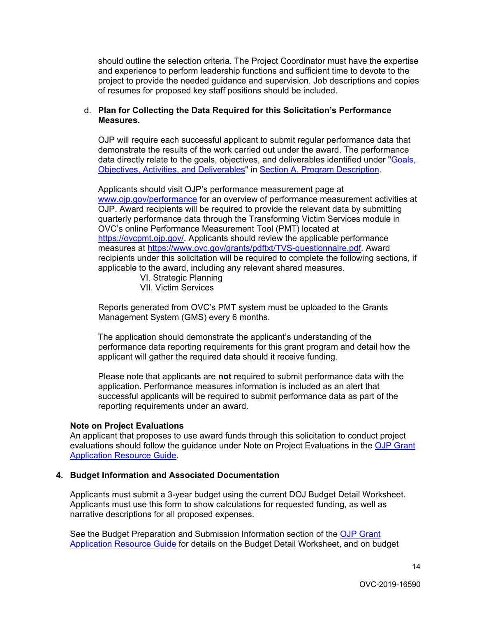should outline the selection criteria. The Project Coordinator must have the expertise and experience to perform leadership functions and sufficient time to devote to the project to provide the needed guidance and supervision. Job descriptions and copies of resumes for proposed key staff positions should be included.

#### **Measures.** d. **Plan for Collecting the Data Required for this Solicitation's Performance**

 [Objectives, Activities, and Deliverables"](#page-5-0) in [Section A. Program Description.](#page-4-0) OJP will require each successful applicant to submit regular performance data that demonstrate the results of the work carried out under the award. The performance data directly relate to the goals, objectives, and deliverables identified under ["Goals,](#page-5-0) 

Applicants should visit OJP's performance measurement page at www.oip.gov/performance for an overview of performance measurement activities at OJP. Award recipients will be required to provide the relevant data by submitting quarterly performance data through the Transforming Victim Services module in OVC's online Performance Measurement Tool (PMT) located at [https://ovcpmt.ojp.gov/.](https://ovcpmt.ojp.gov/) Applicants should review the applicable performance measures at [https://www.ovc.gov/grants/pdftxt/TVS-questionnaire.pdf.](https://www.ovc.gov/grants/pdftxt/TVS-questionnaire.pdf) Award recipients under this solicitation will be required to complete the following sections, if applicable to the award, including any relevant shared measures.

VI. Strategic Planning VII. Victim Services

 Management System (GMS) every 6 months. Reports generated from OVC's PMT system must be uploaded to the Grants

The application should demonstrate the applicant's understanding of the performance data reporting requirements for this grant program and detail how the applicant will gather the required data should it receive funding.

Please note that applicants are **not** required to submit performance data with the application. Performance measures information is included as an alert that successful applicants will be required to submit performance data as part of the reporting requirements under an award.

#### **Note on Project Evaluations**

An applicant that proposes to use award funds through this solicitation to conduct project evaluations should follow the guidance under Note on Project Evaluations in the OJP Grant [Application Resource Guide.](https://www.ojp.gov/funding/Apply/Resources/Grant-App-Resource-Guide.htm)

#### **4. Budget Information and Associated Documentation**

Applicants must submit a 3-year budget using the current DOJ Budget Detail Worksheet. Applicants must use this form to show calculations for requested funding, as well as narrative descriptions for all proposed expenses.

[Application Resource Guide](https://www.ojp.gov/funding/Apply/Resources/Grant-App-Resource-Guide.htm) for details on the Budget Detail Worksheet, and on budget See the Budget Preparation and Submission Information section of the [OJP Grant](https://www.ojp.gov/funding/Apply/Resources/Grant-App-Resource-Guide.htm)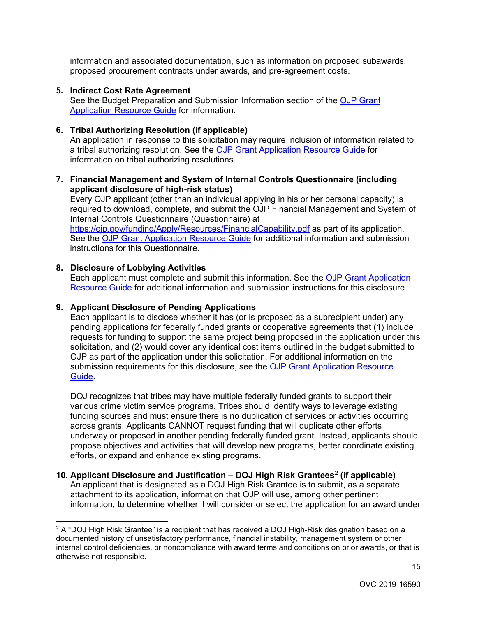information and associated documentation, such as information on proposed subawards, proposed procurement contracts under awards, and pre-agreement costs.

#### **5. Indirect Cost Rate Agreement**

See the Budget Preparation and Submission Information section of the [OJP Grant](https://www.ojp.gov/funding/Apply/Resources/Grant-App-Resource-Guide.htm)  [Application Resource Guide](https://www.ojp.gov/funding/Apply/Resources/Grant-App-Resource-Guide.htm) for information.

#### **6. Tribal Authorizing Resolution (if applicable)**

An application in response to this solicitation may require inclusion of information related to a tribal authorizing resolution. See the **OJP Grant Application Resource Guide** for information on tribal authorizing resolutions.

#### **7. Financial Management and System of Internal Controls Questionnaire (including applicant disclosure of high-risk status)**

Every OJP applicant (other than an individual applying in his or her personal capacity) is required to download, complete, and submit the OJP Financial Management and System of Internal Controls Questionnaire (Questionnaire) at <https://ojp.gov/funding/Apply/Resources/FinancialCapability.pdf>as part of its application.

 instructions for this Questionnaire. See the [OJP Grant Application Resource Guide](https://www.ojp.gov/funding/Apply/Resources/Grant-App-Resource-Guide.htm) for additional information and submission

#### **8. Disclosure of Lobbying Activities**

Each applicant must complete and submit this information. See the OJP Grant Application [Resource Guide](https://www.ojp.gov/funding/Apply/Resources/Grant-App-Resource-Guide.htm) for additional information and submission instructions for this disclosure.

### **9. Applicant Disclosure of Pending Applications**

 Each applicant is to disclose whether it has (or is proposed as a subrecipient under) any solicitation, <u>and</u> (2) would cover any identical cost items outlined in the budget submitted to pending applications for federally funded grants or cooperative agreements that (1) include requests for funding to support the same project being proposed in the application under this OJP as part of the application under this solicitation. For additional information on the submission requirements for this disclosure, see the [OJP Grant Application Resource](https://www.ojp.gov/funding/Apply/Resources/Grant-App-Resource-Guide.htm)  [Guide.](https://www.ojp.gov/funding/Apply/Resources/Grant-App-Resource-Guide.htm)

DOJ recognizes that tribes may have multiple federally funded grants to support their various crime victim service programs. Tribes should identify ways to leverage existing funding sources and must ensure there is no duplication of services or activities occurring across grants. Applicants CANNOT request funding that will duplicate other efforts underway or proposed in another pending federally funded grant. Instead, applicants should propose objectives and activities that will develop new programs, better coordinate existing efforts, or expand and enhance existing programs.

#### **10. Applicant Disclosure and Justification – DOJ High Risk Grantees[2](#page-14-0) (if applicable)**  An applicant that is designated as a DOJ High Risk Grantee is to submit, as a separate attachment to its application, information that OJP will use, among other pertinent information, to determine whether it will consider or select the application for an award under

<span id="page-14-0"></span> $\overline{a}$  $^2$  A "DOJ High Risk Grantee" is a recipient that has received a DOJ High-Risk designation based on a documented history of unsatisfactory performance, financial instability, management system or other internal control deficiencies, or noncompliance with award terms and conditions on prior awards, or that is otherwise not responsible.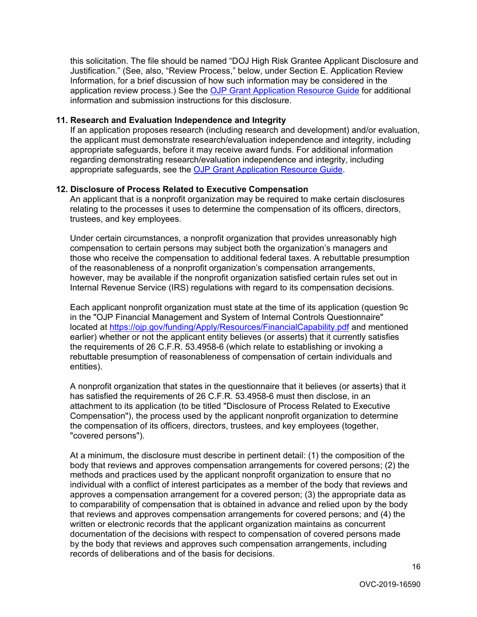this solicitation. The file should be named "DOJ High Risk Grantee Applicant Disclosure and Justification." (See, also, "Review Process," below, under Section E. Application Review Information, for a brief discussion of how such information may be considered in the application review process.) See the [OJP Grant Application Resource Guide](https://www.ojp.gov/funding/Apply/Resources/Grant-App-Resource-Guide.htm) for additional information and submission instructions for this disclosure.

#### **11. Research and Evaluation Independence and Integrity**

If an application proposes research (including research and development) and/or evaluation, the applicant must demonstrate research/evaluation independence and integrity, including appropriate safeguards, before it may receive award funds. For additional information regarding demonstrating research/evaluation independence and integrity, including appropriate safeguards, see the [OJP Grant Application Resource Guide.](https://www.ojp.gov/funding/Apply/Resources/Grant-App-Resource-Guide.htm)

#### **12. Disclosure of Process Related to Executive Compensation**

An applicant that is a nonprofit organization may be required to make certain disclosures relating to the processes it uses to determine the compensation of its officers, directors, trustees, and key employees.

Under certain circumstances, a nonprofit organization that provides unreasonably high compensation to certain persons may subject both the organization's managers and those who receive the compensation to additional federal taxes. A rebuttable presumption of the reasonableness of a nonprofit organization's compensation arrangements, however, may be available if the nonprofit organization satisfied certain rules set out in Internal Revenue Service (IRS) regulations with regard to its compensation decisions.

Each applicant nonprofit organization must state at the time of its application (question 9c in the "OJP Financial Management and System of Internal Controls Questionnaire" located at<https://ojp.gov/funding/Apply/Resources/FinancialCapability.pdf>and mentioned earlier) whether or not the applicant entity believes (or asserts) that it currently satisfies the requirements of 26 C.F.R. 53.4958-6 (which relate to establishing or invoking a rebuttable presumption of reasonableness of compensation of certain individuals and entities).

A nonprofit organization that states in the questionnaire that it believes (or asserts) that it has satisfied the requirements of 26 C.F.R. 53.4958-6 must then disclose, in an attachment to its application (to be titled "Disclosure of Process Related to Executive Compensation"), the process used by the applicant nonprofit organization to determine the compensation of its officers, directors, trustees, and key employees (together, "covered persons").

At a minimum, the disclosure must describe in pertinent detail: (1) the composition of the body that reviews and approves compensation arrangements for covered persons; (2) the methods and practices used by the applicant nonprofit organization to ensure that no individual with a conflict of interest participates as a member of the body that reviews and approves a compensation arrangement for a covered person; (3) the appropriate data as to comparability of compensation that is obtained in advance and relied upon by the body that reviews and approves compensation arrangements for covered persons; and (4) the written or electronic records that the applicant organization maintains as concurrent documentation of the decisions with respect to compensation of covered persons made by the body that reviews and approves such compensation arrangements, including records of deliberations and of the basis for decisions.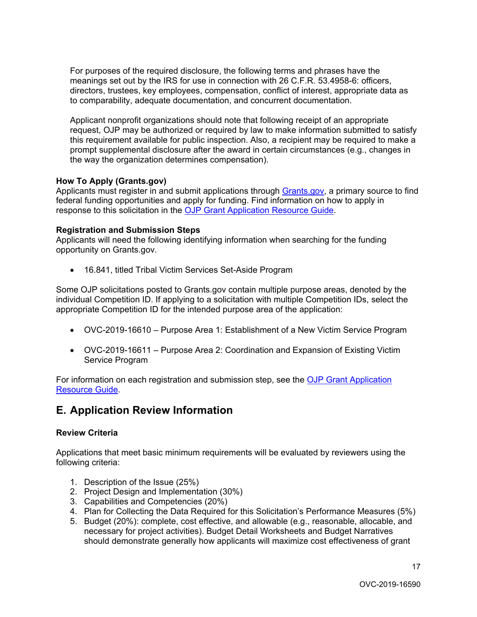For purposes of the required disclosure, the following terms and phrases have the meanings set out by the IRS for use in connection with 26 C.F.R. 53.4958-6: officers, directors, trustees, key employees, compensation, conflict of interest, appropriate data as to comparability, adequate documentation, and concurrent documentation.

Applicant nonprofit organizations should note that following receipt of an appropriate request, OJP may be authorized or required by law to make information submitted to satisfy this requirement available for public inspection. Also, a recipient may be required to make a prompt supplemental disclosure after the award in certain circumstances (e.g., changes in the way the organization determines compensation).

#### <span id="page-16-0"></span>**How To Apply ([Grants.gov](https://Grants.gov))**

Applicants must register in and submit applications through [Grants.gov,](https://www.grants.gov/) a primary source to find federal funding opportunities and apply for funding. Find information on how to apply in response to this solicitation in the [OJP Grant Application Resource Guide.](https://www.ojp.gov/funding/Apply/Resources/Grant-App-Resource-Guide.htm)

#### **Registration and Submission Steps**

Applicants will need the following identifying information when searching for the funding opportunity on [Grants.gov.](https://Grants.gov)

• 16.841, titled Tribal Victim Services Set-Aside Program

Some OJP solicitations posted to [Grants.gov](https://Grants.gov) contain multiple purpose areas, denoted by the individual Competition ID. If applying to a solicitation with multiple Competition IDs, select the appropriate Competition ID for the intended purpose area of the application:

- OVC-2019-16610 Purpose Area 1: Establishment of a New Victim Service Program
- Service Program • OVC-2019-16611 – Purpose Area 2: Coordination and Expansion of Existing Victim

For information on each registration and submission step, see the OJP Grant Application [Resource Guide.](https://www.ojp.gov/funding/Apply/Resources/Grant-App-Resource-Guide.htm)

# <span id="page-16-1"></span>**E. Application Review Information**

#### <span id="page-16-2"></span>**Review Criteria**

Applications that meet basic minimum requirements will be evaluated by reviewers using the following criteria:

- 1. Description of the Issue (25%)
- 2. Project Design and Implementation (30%)
- 3. Capabilities and Competencies (20%)
- 4. Plan for Collecting the Data Required for this Solicitation's Performance Measures (5%)
- 5. Budget (20%): complete, cost effective, and allowable (e.g., reasonable, allocable, and necessary for project activities). Budget Detail Worksheets and Budget Narratives should demonstrate generally how applicants will maximize cost effectiveness of grant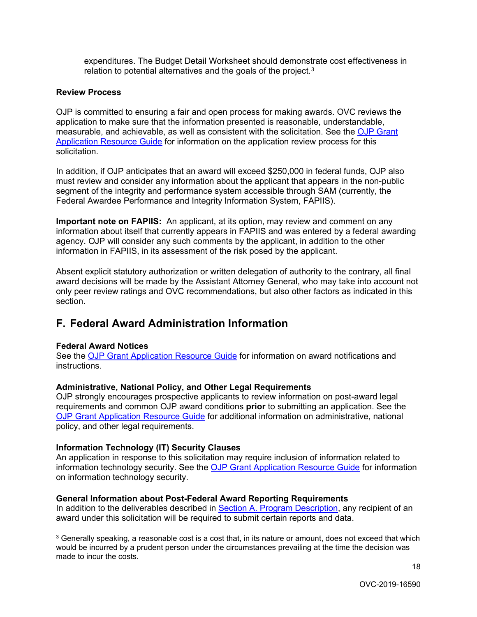expenditures. The Budget Detail Worksheet should demonstrate cost effectiveness in relation to potential alternatives and the goals of the project.<sup>3</sup>

#### <span id="page-17-0"></span>**Review Process**

OJP is committed to ensuring a fair and open process for making awards. OVC reviews the application to make sure that the information presented is reasonable, understandable, measurable, and achievable, as well as consistent with the solicitation. See the [OJP Grant](https://www.ojp.gov/funding/Apply/Resources/Grant-App-Resource-Guide.htm)  [Application Resource Guide](https://www.ojp.gov/funding/Apply/Resources/Grant-App-Resource-Guide.htm) for information on the application review process for this solicitation.

 Federal Awardee Performance and Integrity Information System, FAPIIS). In addition, if OJP anticipates that an award will exceed \$250,000 in federal funds, OJP also must review and consider any information about the applicant that appears in the non-public segment of the integrity and performance system accessible through SAM (currently, the

 **Important note on FAPIIS:** An applicant, at its option, may review and comment on any information about itself that currently appears in FAPIIS and was entered by a federal awarding agency. OJP will consider any such comments by the applicant, in addition to the other information in FAPIIS, in its assessment of the risk posed by the applicant.

Absent explicit statutory authorization or written delegation of authority to the contrary, all final award decisions will be made by the Assistant Attorney General, who may take into account not only peer review ratings and OVC recommendations, but also other factors as indicated in this section.

# <span id="page-17-1"></span>**F. Federal Award Administration Information**

#### <span id="page-17-2"></span>**Federal Award Notices**

See the [OJP Grant Application Resource Guide](https://www.ojp.gov/funding/Apply/Resources/Grant-App-Resource-Guide.htm) for information on award notifications and instructions.

#### <span id="page-17-3"></span>**Administrative, National Policy, and Other Legal Requirements**

 [OJP Grant Application Resource Guide](https://www.ojp.gov/funding/Apply/Resources/Grant-App-Resource-Guide.htm) for additional information on administrative, national OJP strongly encourages prospective applicants to review information on post-award legal requirements and common OJP award conditions **prior** to submitting an application. See the policy, and other legal requirements.

#### <span id="page-17-4"></span>**Information Technology (IT) Security Clauses**

An application in response to this solicitation may require inclusion of information related to information technology security. See the [OJP Grant Application Resource Guide](https://www.ojp.gov/funding/Apply/Resources/Grant-App-Resource-Guide.htm) for information on information technology security.

#### <span id="page-17-5"></span>**General Information about Post-Federal Award Reporting Requirements**

In addition to the deliverables described in [Section A. Program Description,](#page-4-0) any recipient of an award under this solicitation will be required to submit certain reports and data.

<span id="page-17-6"></span> $\overline{a}$  $^3$  Generally speaking, a reasonable cost is a cost that, in its nature or amount, does not exceed that which would be incurred by a prudent person under the circumstances prevailing at the time the decision was made to incur the costs.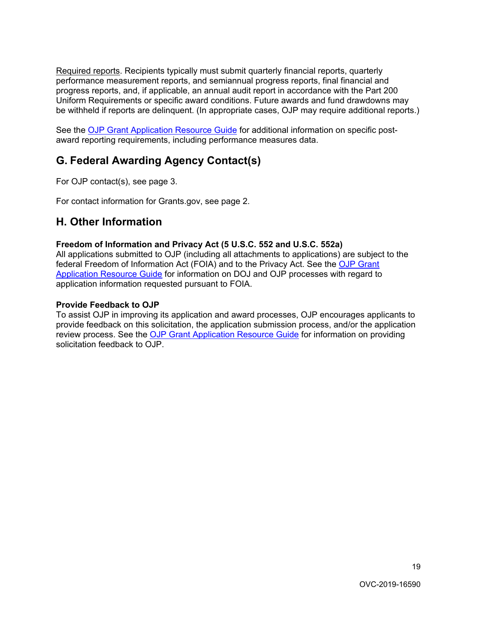Required reports. Recipients typically must submit quarterly financial reports, quarterly performance measurement reports, and semiannual progress reports, final financial and progress reports, and, if applicable, an annual audit report in accordance with the Part 200 Uniform Requirements or specific award conditions. Future awards and fund drawdowns may be withheld if reports are delinquent. (In appropriate cases, OJP may require additional reports.)

See the <u>OJP Grant Application Resource Guide</u> for additional information on specific postaward reporting requirements, including performance measures data.

# <span id="page-18-0"></span>**G. Federal Awarding Agency Contact(s)**

For OJP contact(s), see page 3.

<span id="page-18-1"></span>For contact information for [Grants.gov](https://Grants.gov), see page 2.

# **H. Other Information**

#### <span id="page-18-2"></span>**Freedom of Information and Privacy Act (5 U.S.C. 552 and U.S.C. 552a)**

[Application Resource Guide](https://www.ojp.gov/funding/Apply/Resources/Grant-App-Resource-Guide.htm) for information on DOJ and OJP processes with regard to All applications submitted to OJP (including all attachments to applications) are subject to the federal Freedom of Information Act (FOIA) and to the Privacy Act. See the [OJP Grant](https://www.ojp.gov/funding/Apply/Resources/Grant-App-Resource-Guide.htm)  application information requested pursuant to FOIA.

#### <span id="page-18-3"></span>**Provide Feedback to OJP**

To assist OJP in improving its application and award processes, OJP encourages applicants to provide feedback on this solicitation, the application submission process, and/or the application review process. See the [OJP Grant Application Resource Guide](https://www.ojp.gov/funding/Apply/Resources/Grant-App-Resource-Guide.htm) for information on providing solicitation feedback to OJP.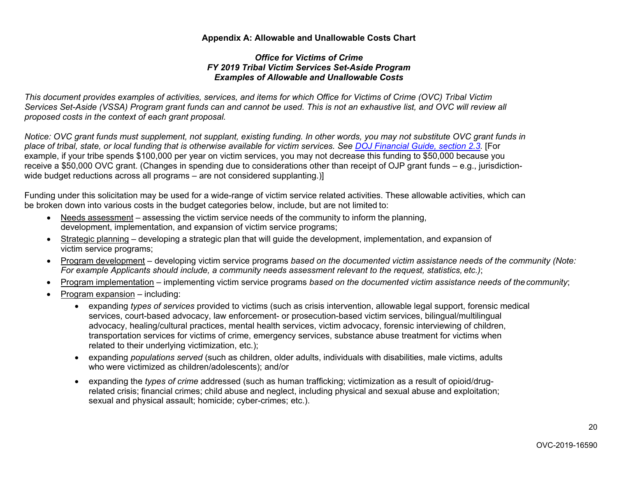#### **Appendix A: Allowable and Unallowable Costs Chart**

#### *Office for Victims of Crime FY 2019 Tribal Victim Services Set-Aside Program Examples of Allowable and Unallowable Costs*

 *Services Set-Aside (VSSA) Program grant funds can and cannot be used. This is not an exhaustive list, and OVC will review all This document provides examples of activities, services, and items for which Office for Victims of Crime (OVC) Tribal Victim proposed costs in the context of each grant proposal.* 

*Notice: OVC grant funds must supplement, not supplant, existing funding. In other words, you may not substitute OVC grant funds in place of tribal, state, or local funding that is otherwise available for victim services. See [DOJ Financial Guide, section 2.3.](https://ojp.gov/financialguide/doj/pdfs/DOJ_FinancialGuide.pdf)* [For example, if your tribe spends \$100,000 per year on victim services, you may not decrease this funding to \$50,000 because you receive a \$50,000 OVC grant. (Changes in spending due to considerations other than receipt of OJP grant funds – e.g., jurisdictionwide budget reductions across all programs – are not considered supplanting.)]

<span id="page-19-0"></span> be broken down into various costs in the budget categories below, include, but are not limited to: Funding under this solicitation may be used for a wide-range of victim service related activities. These allowable activities, which can

- development, implementation, and expansion of victim service programs; • Needs assessment – assessing the victim service needs of the community to inform the planning,
- Strategic planning developing a strategic plan that will guide the development, implementation, and expansion of victim service programs;
- • Program development developing victim service programs *based on the documented victim assistance needs of the community (Note: For example Applicants should include, a community needs assessment relevant to the request, statistics, etc.)*;
- Program implementation implementing victim service programs *based on the documented victim assistance needs of thecommunity*;
- Program expansion including:
	- • expanding *types of services* provided to victims (such as crisis intervention, allowable legal support, forensic medical related to their underlying victimization, etc.); services, court-based advocacy, law enforcement- or prosecution-based victim services, bilingual/multilingual advocacy, healing/cultural practices, mental health services, victim advocacy, forensic interviewing of children, transportation services for victims of crime, emergency services, substance abuse treatment for victims when
	- who were victimized as children/adolescents); and/or • expanding *populations served* (such as children, older adults, individuals with disabilities, male victims, adults
	- related crisis; financial crimes; child abuse and neglect, including physical and sexual abuse and exploitation; sexual and physical assault; homicide; cyber-crimes; etc.). • expanding the *types of crime* addressed (such as human trafficking; victimization as a result of opioid/drug-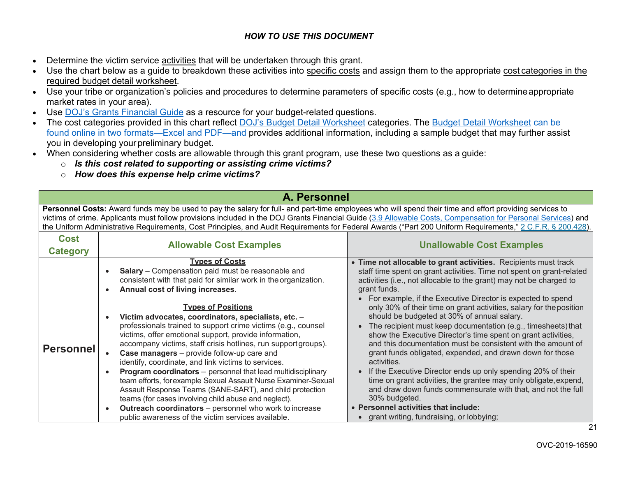#### *HOW TO USE THIS DOCUMENT*

- Determine the victim service activities that will be undertaken through this grant.
- Use the chart below as a guide to breakdown these activities into specific costs and assign them to the appropriate cost categories in the required budget detail worksheet.
- Use your tribe or organization's policies and procedures to determine parameters of specific costs (e.g., how to determineappropriate market rates in your area).
- Use [DOJ's Grants Financial Guide](https://ojp.gov/financialguide/DOJ/index.htm) as a resource for your budget-related questions.
- The cost categories provided in this chart reflect [DOJ's Budget Detail Worksheet](https://ojp.gov/funding/Apply/Forms/BudgetDetailWorksheet.htm) categories. The [Budget](https://ojp.gov/funding/Apply/Forms/BudgetDetailWorksheet.htm) [Detail Worksheet](https://ojp.gov/funding/Apply/Forms/BudgetDetailWorksheet.htm) can be found online in two formats—Excel and PDF—and provides additional information, including a sample budget that may further assist you in developing your preliminary budget.
- When considering whether costs are allowable through this grant program, use these two questions as a guide:
	- o *Is this cost related to supporting or assisting crime victims?*
	- o *How does this expense help crime victims?*

# **A. Personnel**

Personnel Costs: Award funds may be used to pay the salary for full- and part-time employees who will spend their time and effort providing services to victims of crime. Applicants must follow provisions included in the DOJ Grants Financial Guide [\(3.9 Allowable Costs, Compensation for Personal Services\)](https://ojp.gov/financialguide/DOJ/PostawardRequirements/chapter3.9b.htm) and the Uniform Administrative Requirements, Cost Principles, and Audit Requirements for Federal Awards ("Part 200 Uniform Requirements," [2 C.F.R. § 200.428\)](http://www.ecfr.gov/cgi-bin/retrieveECFR?gp&SID=870db2718d81511f58f280c0fdc0957d&n=pt2.1.200&r=PART&ty=HTML&se2.1.200_1428).

| <b>Cost</b><br>Category | <b>Allowable Cost Examples</b>                                                                                                                                                                                                                                                                                                                                                                                                                                                                                                                                                                                                                                                                                                                                                                                                                                                                                                                                     | <b>Unallowable Cost Examples</b>                                                                                                                                                                                                                                                                                                                                                                                                                                                                                                                                                                                                                                                                                                                                                                                                                                                                                                                                                                            |
|-------------------------|--------------------------------------------------------------------------------------------------------------------------------------------------------------------------------------------------------------------------------------------------------------------------------------------------------------------------------------------------------------------------------------------------------------------------------------------------------------------------------------------------------------------------------------------------------------------------------------------------------------------------------------------------------------------------------------------------------------------------------------------------------------------------------------------------------------------------------------------------------------------------------------------------------------------------------------------------------------------|-------------------------------------------------------------------------------------------------------------------------------------------------------------------------------------------------------------------------------------------------------------------------------------------------------------------------------------------------------------------------------------------------------------------------------------------------------------------------------------------------------------------------------------------------------------------------------------------------------------------------------------------------------------------------------------------------------------------------------------------------------------------------------------------------------------------------------------------------------------------------------------------------------------------------------------------------------------------------------------------------------------|
| <b>Personnel</b>        | <u>Types of Costs</u><br>Salary - Compensation paid must be reasonable and<br>consistent with that paid for similar work in the organization.<br>Annual cost of living increases.<br><b>Types of Positions</b><br>Victim advocates, coordinators, specialists, etc. -<br>professionals trained to support crime victims (e.g., counsel<br>victims, offer emotional support, provide information,<br>accompany victims, staff crisis hotlines, run support groups).<br><b>Case managers</b> – provide follow-up care and<br>identify, coordinate, and link victims to services.<br><b>Program coordinators</b> – personnel that lead multidisciplinary<br>team efforts, for example Sexual Assault Nurse Examiner-Sexual<br>Assault Response Teams (SANE-SART), and child protection<br>teams (for cases involving child abuse and neglect).<br><b>Outreach coordinators</b> – personnel who work to increase<br>public awareness of the victim services available. | • Time not allocable to grant activities. Recipients must track<br>staff time spent on grant activities. Time not spent on grant-related<br>activities (i.e., not allocable to the grant) may not be charged to<br>grant funds.<br>For example, if the Executive Director is expected to spend<br>only 30% of their time on grant activities, salary for the position<br>should be budgeted at 30% of annual salary.<br>The recipient must keep documentation (e.g., timesheets) that<br>show the Executive Director's time spent on grant activities,<br>and this documentation must be consistent with the amount of<br>grant funds obligated, expended, and drawn down for those<br>activities.<br>If the Executive Director ends up only spending 20% of their<br>time on grant activities, the grantee may only obligate, expend,<br>and draw down funds commensurate with that, and not the full<br>30% budgeted.<br>• Personnel activities that include:<br>grant writing, fundraising, or lobbying; |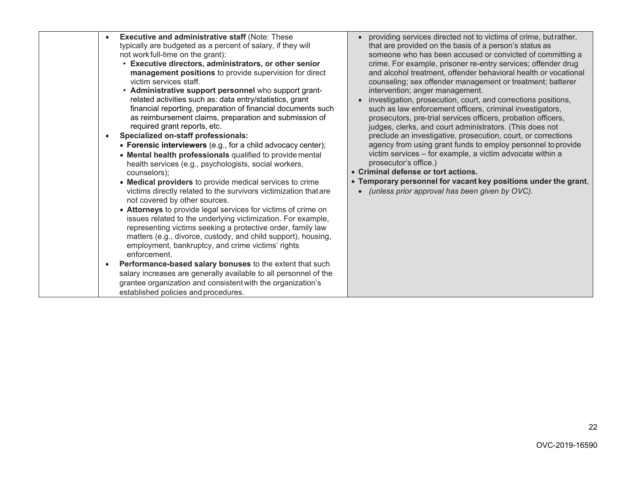| <b>Executive and administrative staff (Note: These</b><br>$\bullet$<br>typically are budgeted as a percent of salary, if they will<br>not work full-time on the grant):<br>• Executive directors, administrators, or other senior<br>management positions to provide supervision for direct<br>victim services staff.<br>• Administrative support personnel who support grant-<br>related activities such as: data entry/statistics, grant<br>financial reporting, preparation of financial documents such<br>as reimbursement claims, preparation and submission of<br>required grant reports, etc.<br>Specialized on-staff professionals:<br>$\bullet$<br>• Forensic interviewers (e.g., for a child advocacy center);<br>• Mental health professionals qualified to provide mental<br>health services (e.g., psychologists, social workers,<br>counselors);<br>• Medical providers to provide medical services to crime<br>victims directly related to the survivors victimization that are<br>not covered by other sources.<br>• Attorneys to provide legal services for victims of crime on<br>issues related to the underlying victimization. For example,<br>representing victims seeking a protective order, family law<br>matters (e.g., divorce, custody, and child support), housing,<br>employment, bankruptcy, and crime victims' rights<br>enforcement.<br>Performance-based salary bonuses to the extent that such<br>$\bullet$<br>salary increases are generally available to all personnel of the<br>grantee organization and consistent with the organization's<br>established policies and procedures. | providing services directed not to victims of crime, but rather,<br>that are provided on the basis of a person's status as<br>someone who has been accused or convicted of committing a<br>crime. For example, prisoner re-entry services; offender drug<br>and alcohol treatment, offender behavioral health or vocational<br>counseling; sex offender management or treatment; batterer<br>intervention; anger management.<br>investigation, prosecution, court, and corrections positions,<br>such as law enforcement officers, criminal investigators,<br>prosecutors, pre-trial services officers, probation officers,<br>judges, clerks, and court administrators. (This does not<br>preclude an investigative, prosecution, court, or corrections<br>agency from using grant funds to employ personnel to provide<br>victim services - for example, a victim advocate within a<br>prosecutor's office.)<br>• Criminal defense or tort actions.<br>• Temporary personnel for vacant key positions under the grant,<br>(unless prior approval has been given by OVC).<br>$\bullet$ |
|---------------------------------------------------------------------------------------------------------------------------------------------------------------------------------------------------------------------------------------------------------------------------------------------------------------------------------------------------------------------------------------------------------------------------------------------------------------------------------------------------------------------------------------------------------------------------------------------------------------------------------------------------------------------------------------------------------------------------------------------------------------------------------------------------------------------------------------------------------------------------------------------------------------------------------------------------------------------------------------------------------------------------------------------------------------------------------------------------------------------------------------------------------------------------------------------------------------------------------------------------------------------------------------------------------------------------------------------------------------------------------------------------------------------------------------------------------------------------------------------------------------------------------------------------------------------------------------------------------------------------|-----------------------------------------------------------------------------------------------------------------------------------------------------------------------------------------------------------------------------------------------------------------------------------------------------------------------------------------------------------------------------------------------------------------------------------------------------------------------------------------------------------------------------------------------------------------------------------------------------------------------------------------------------------------------------------------------------------------------------------------------------------------------------------------------------------------------------------------------------------------------------------------------------------------------------------------------------------------------------------------------------------------------------------------------------------------------------------------|
|---------------------------------------------------------------------------------------------------------------------------------------------------------------------------------------------------------------------------------------------------------------------------------------------------------------------------------------------------------------------------------------------------------------------------------------------------------------------------------------------------------------------------------------------------------------------------------------------------------------------------------------------------------------------------------------------------------------------------------------------------------------------------------------------------------------------------------------------------------------------------------------------------------------------------------------------------------------------------------------------------------------------------------------------------------------------------------------------------------------------------------------------------------------------------------------------------------------------------------------------------------------------------------------------------------------------------------------------------------------------------------------------------------------------------------------------------------------------------------------------------------------------------------------------------------------------------------------------------------------------------|-----------------------------------------------------------------------------------------------------------------------------------------------------------------------------------------------------------------------------------------------------------------------------------------------------------------------------------------------------------------------------------------------------------------------------------------------------------------------------------------------------------------------------------------------------------------------------------------------------------------------------------------------------------------------------------------------------------------------------------------------------------------------------------------------------------------------------------------------------------------------------------------------------------------------------------------------------------------------------------------------------------------------------------------------------------------------------------------|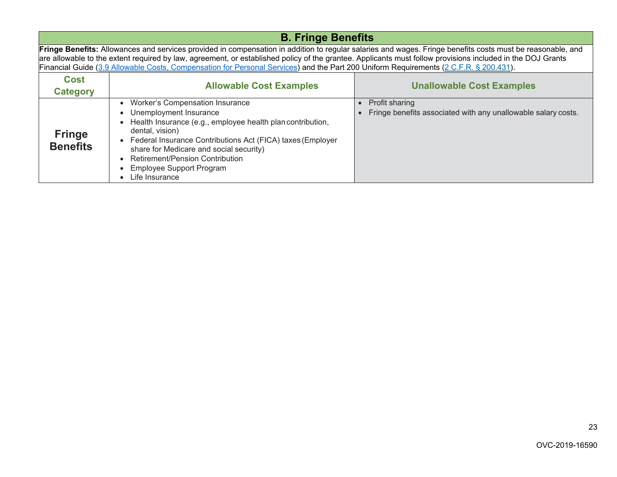|                                                                                                                                                                                                                                                                                                                                                                                                                                                                   | <b>B. Fringe Benefits</b>                                                                                                                                                                                                                                                                                                                                                |                                                                                        |  |  |
|-------------------------------------------------------------------------------------------------------------------------------------------------------------------------------------------------------------------------------------------------------------------------------------------------------------------------------------------------------------------------------------------------------------------------------------------------------------------|--------------------------------------------------------------------------------------------------------------------------------------------------------------------------------------------------------------------------------------------------------------------------------------------------------------------------------------------------------------------------|----------------------------------------------------------------------------------------|--|--|
| Fringe Benefits: Allowances and services provided in compensation in addition to regular salaries and wages. Fringe benefits costs must be reasonable, and<br>are allowable to the extent required by law, agreement, or established policy of the grantee. Applicants must follow provisions included in the DOJ Grants<br>Financial Guide (3.9 Allowable Costs, Compensation for Personal Services) and the Part 200 Uniform Requirements (2 C.F.R. § 200.431). |                                                                                                                                                                                                                                                                                                                                                                          |                                                                                        |  |  |
| <b>Cost</b><br><b>Category</b>                                                                                                                                                                                                                                                                                                                                                                                                                                    | <b>Allowable Cost Examples</b>                                                                                                                                                                                                                                                                                                                                           | <b>Unallowable Cost Examples</b>                                                       |  |  |
| <b>Fringe</b><br><b>Benefits</b>                                                                                                                                                                                                                                                                                                                                                                                                                                  | <b>Worker's Compensation Insurance</b><br>Unemployment Insurance<br>$\bullet$<br>Health Insurance (e.g., employee health plan contribution,<br>dental, vision)<br>• Federal Insurance Contributions Act (FICA) taxes (Employer<br>share for Medicare and social security)<br><b>Retirement/Pension Contribution</b><br><b>Employee Support Program</b><br>Life Insurance | <b>Profit sharing</b><br>Fringe benefits associated with any unallowable salary costs. |  |  |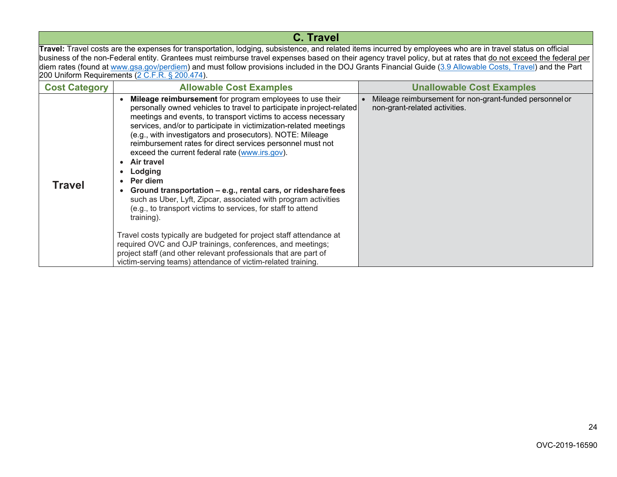| C. Travel                                                                                                                                                                                                                                                                                                                                                                                                                                                                                      |                                                                                                                                                                                                                                                                                                                                                                                                                                                                               |                                                                                          |
|------------------------------------------------------------------------------------------------------------------------------------------------------------------------------------------------------------------------------------------------------------------------------------------------------------------------------------------------------------------------------------------------------------------------------------------------------------------------------------------------|-------------------------------------------------------------------------------------------------------------------------------------------------------------------------------------------------------------------------------------------------------------------------------------------------------------------------------------------------------------------------------------------------------------------------------------------------------------------------------|------------------------------------------------------------------------------------------|
| Travel: Travel costs are the expenses for transportation, lodging, subsistence, and related items incurred by employees who are in travel status on official<br>business of the non-Federal entity. Grantees must reimburse travel expenses based on their agency travel policy, but at rates that do not exceed the federal per<br>diem rates (found at www.gsa.gov/perdiem) and must follow provisions included in the DOJ Grants Financial Guide (3.9 Allowable Costs, Travel) and the Part |                                                                                                                                                                                                                                                                                                                                                                                                                                                                               |                                                                                          |
|                                                                                                                                                                                                                                                                                                                                                                                                                                                                                                | 200 Uniform Requirements ( $2 \overline{C}$ .F.R. § 200.474).                                                                                                                                                                                                                                                                                                                                                                                                                 |                                                                                          |
| <b>Cost Category</b>                                                                                                                                                                                                                                                                                                                                                                                                                                                                           | <b>Allowable Cost Examples</b>                                                                                                                                                                                                                                                                                                                                                                                                                                                | <b>Unallowable Cost Examples</b>                                                         |
|                                                                                                                                                                                                                                                                                                                                                                                                                                                                                                | Mileage reimbursement for program employees to use their<br>personally owned vehicles to travel to participate in project-related<br>meetings and events, to transport victims to access necessary<br>services, and/or to participate in victimization-related meetings<br>(e.g., with investigators and prosecutors). NOTE: Mileage<br>reimbursement rates for direct services personnel must not<br>$\alpha$ exceed the current federal rate $(\alpha \alpha \alpha \beta)$ | Mileage reimbursement for non-grant-funded personnel or<br>non-grant-related activities. |

| <b>Travel</b> | exceed the current federal rate (www.irs.gov).<br><b>Air travel</b><br>Lodging<br>$\bullet$<br><b>Per diem</b><br>Ground transportation - e.g., rental cars, or rideshare fees<br>such as Uber, Lyft, Zipcar, associated with program activities<br>(e.g., to transport victims to services, for staff to attend<br>training). |  |
|---------------|--------------------------------------------------------------------------------------------------------------------------------------------------------------------------------------------------------------------------------------------------------------------------------------------------------------------------------|--|
|               | Travel costs typically are budgeted for project staff attendance at<br>required OVC and OJP trainings, conferences, and meetings;<br>project staff (and other relevant professionals that are part of<br>victim-serving teams) attendance of victim-related training.                                                          |  |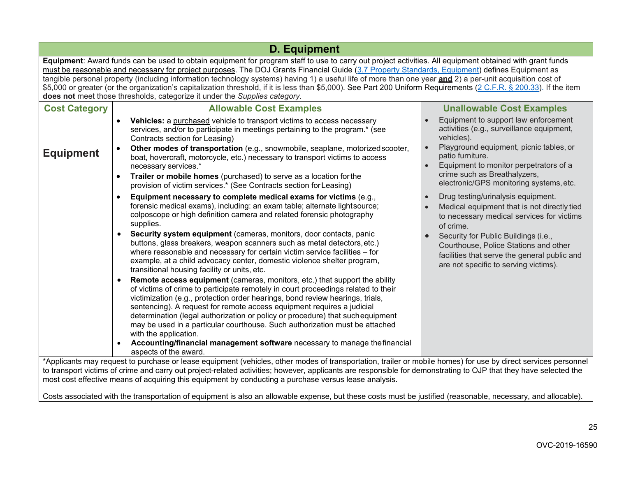| <b>D. Equipment</b>                                                                                                                                                                                                                                                                                                                                                                                                                                                                                                                                                                                                                                                                                                          |                                                                                                                                                                                                                                                                                                                                                                                                                                                                                                                                                                                                                                                                                                                                                                                                                                                                                                                                                                                                                                                                                                                                                                                                                                                                      |                                                                                                                                                                                                                                                                                                                       |
|------------------------------------------------------------------------------------------------------------------------------------------------------------------------------------------------------------------------------------------------------------------------------------------------------------------------------------------------------------------------------------------------------------------------------------------------------------------------------------------------------------------------------------------------------------------------------------------------------------------------------------------------------------------------------------------------------------------------------|----------------------------------------------------------------------------------------------------------------------------------------------------------------------------------------------------------------------------------------------------------------------------------------------------------------------------------------------------------------------------------------------------------------------------------------------------------------------------------------------------------------------------------------------------------------------------------------------------------------------------------------------------------------------------------------------------------------------------------------------------------------------------------------------------------------------------------------------------------------------------------------------------------------------------------------------------------------------------------------------------------------------------------------------------------------------------------------------------------------------------------------------------------------------------------------------------------------------------------------------------------------------|-----------------------------------------------------------------------------------------------------------------------------------------------------------------------------------------------------------------------------------------------------------------------------------------------------------------------|
| Equipment: Award funds can be used to obtain equipment for program staff to use to carry out project activities. All equipment obtained with grant funds<br>must be reasonable and necessary for project purposes. The DOJ Grants Financial Guide (3.7 Property Standards, Equipment) defines Equipment as<br>tangible personal property (including information technology systems) having 1) a useful life of more than one year and 2) a per-unit acquisition cost of<br>\$5,000 or greater (or the organization's capitalization threshold, if it is less than \$5,000). See Part 200 Uniform Requirements (2 C.F.R. § 200.33). If the item<br>does not meet those thresholds, categorize it under the Supplies category. |                                                                                                                                                                                                                                                                                                                                                                                                                                                                                                                                                                                                                                                                                                                                                                                                                                                                                                                                                                                                                                                                                                                                                                                                                                                                      |                                                                                                                                                                                                                                                                                                                       |
| <b>Cost Category</b>                                                                                                                                                                                                                                                                                                                                                                                                                                                                                                                                                                                                                                                                                                         | <b>Allowable Cost Examples</b>                                                                                                                                                                                                                                                                                                                                                                                                                                                                                                                                                                                                                                                                                                                                                                                                                                                                                                                                                                                                                                                                                                                                                                                                                                       | <b>Unallowable Cost Examples</b>                                                                                                                                                                                                                                                                                      |
| <b>Equipment</b>                                                                                                                                                                                                                                                                                                                                                                                                                                                                                                                                                                                                                                                                                                             | Vehicles: a purchased vehicle to transport victims to access necessary<br>$\bullet$<br>services, and/or to participate in meetings pertaining to the program.* (see<br>Contracts section for Leasing)<br>Other modes of transportation (e.g., snowmobile, seaplane, motorized scooter,<br>$\bullet$<br>boat, hovercraft, motorcycle, etc.) necessary to transport victims to access<br>necessary services.*<br>Trailer or mobile homes (purchased) to serve as a location for the<br>$\bullet$<br>provision of victim services.* (See Contracts section for Leasing)                                                                                                                                                                                                                                                                                                                                                                                                                                                                                                                                                                                                                                                                                                 | Equipment to support law enforcement<br>activities (e.g., surveillance equipment,<br>vehicles).<br>Playground equipment, picnic tables, or<br>patio furniture.<br>Equipment to monitor perpetrators of a<br>crime such as Breathalyzers,<br>electronic/GPS monitoring systems, etc.                                   |
|                                                                                                                                                                                                                                                                                                                                                                                                                                                                                                                                                                                                                                                                                                                              | Equipment necessary to complete medical exams for victims (e.g.,<br>$\bullet$<br>forensic medical exams), including: an exam table; alternate light source;<br>colposcope or high definition camera and related forensic photography<br>supplies.<br>Security system equipment (cameras, monitors, door contacts, panic<br>$\bullet$<br>buttons, glass breakers, weapon scanners such as metal detectors, etc.)<br>where reasonable and necessary for certain victim service facilities - for<br>example, at a child advocacy center, domestic violence shelter program,<br>transitional housing facility or units, etc.<br>Remote access equipment (cameras, monitors, etc.) that support the ability<br>$\bullet$<br>of victims of crime to participate remotely in court proceedings related to their<br>victimization (e.g., protection order hearings, bond review hearings, trials,<br>sentencing). A request for remote access equipment requires a judicial<br>determination (legal authorization or policy or procedure) that such equipment<br>may be used in a particular courthouse. Such authorization must be attached<br>with the application.<br>Accounting/financial management software necessary to manage the financial<br>aspects of the award. | Drug testing/urinalysis equipment.<br>Medical equipment that is not directly tied<br>to necessary medical services for victims<br>of crime.<br>Security for Public Buildings (i.e.,<br>Courthouse, Police Stations and other<br>facilities that serve the general public and<br>are not specific to serving victims). |
|                                                                                                                                                                                                                                                                                                                                                                                                                                                                                                                                                                                                                                                                                                                              | *Applicants may request to purchase or lease equipment (vehicles, other modes of transportation, trailer or mobile homes) for use by direct services personnel<br>to transport victims of crime and carry out project-related activities; however, applicants are responsible for demonstrating to OJP that they have selected the<br>most cost effective means of acquiring this equipment by conducting a purchase versus lease analysis.                                                                                                                                                                                                                                                                                                                                                                                                                                                                                                                                                                                                                                                                                                                                                                                                                          |                                                                                                                                                                                                                                                                                                                       |

Costs associated with the transportation of equipment is also an allowable expense, but these costs must be justified (reasonable, necessary, and allocable).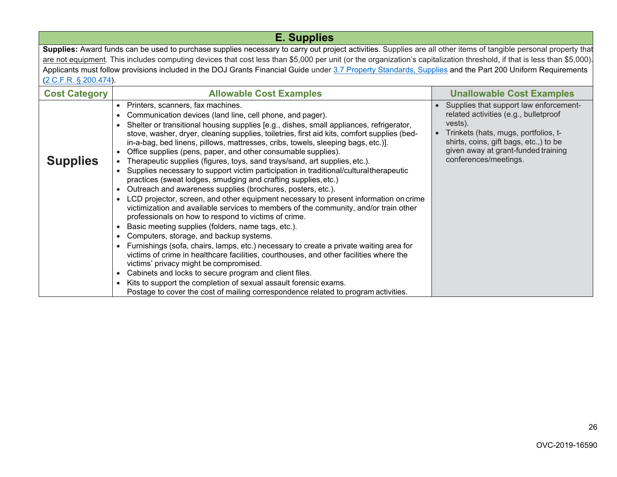| <b>E. Supplies</b>                                                                                                                                                |                                                                                                                                                                                                                                                                                                                                                                                                                                                                                                                                                                                                                                                                                                                                                                                                                                                                                                                                                                                                                                                                                                                                                                                                                                                                                                                                                                                                                                                                                                                                                                                                                                                          |                                                                                                                                                                                                                                              |
|-------------------------------------------------------------------------------------------------------------------------------------------------------------------|----------------------------------------------------------------------------------------------------------------------------------------------------------------------------------------------------------------------------------------------------------------------------------------------------------------------------------------------------------------------------------------------------------------------------------------------------------------------------------------------------------------------------------------------------------------------------------------------------------------------------------------------------------------------------------------------------------------------------------------------------------------------------------------------------------------------------------------------------------------------------------------------------------------------------------------------------------------------------------------------------------------------------------------------------------------------------------------------------------------------------------------------------------------------------------------------------------------------------------------------------------------------------------------------------------------------------------------------------------------------------------------------------------------------------------------------------------------------------------------------------------------------------------------------------------------------------------------------------------------------------------------------------------|----------------------------------------------------------------------------------------------------------------------------------------------------------------------------------------------------------------------------------------------|
| Supplies: Award funds can be used to purchase supplies necessary to carry out project activities. Supplies are all other items of tangible personal property that |                                                                                                                                                                                                                                                                                                                                                                                                                                                                                                                                                                                                                                                                                                                                                                                                                                                                                                                                                                                                                                                                                                                                                                                                                                                                                                                                                                                                                                                                                                                                                                                                                                                          |                                                                                                                                                                                                                                              |
|                                                                                                                                                                   | are not equipment. This includes computing devices that cost less than \$5,000 per unit (or the organization's capitalization threshold, if that is less than \$5,000).                                                                                                                                                                                                                                                                                                                                                                                                                                                                                                                                                                                                                                                                                                                                                                                                                                                                                                                                                                                                                                                                                                                                                                                                                                                                                                                                                                                                                                                                                  |                                                                                                                                                                                                                                              |
|                                                                                                                                                                   | Applicants must follow provisions included in the DOJ Grants Financial Guide under 3.7 Property Standards, Supplies and the Part 200 Uniform Requirements                                                                                                                                                                                                                                                                                                                                                                                                                                                                                                                                                                                                                                                                                                                                                                                                                                                                                                                                                                                                                                                                                                                                                                                                                                                                                                                                                                                                                                                                                                |                                                                                                                                                                                                                                              |
| (2 C.F.R. § 200.474).                                                                                                                                             |                                                                                                                                                                                                                                                                                                                                                                                                                                                                                                                                                                                                                                                                                                                                                                                                                                                                                                                                                                                                                                                                                                                                                                                                                                                                                                                                                                                                                                                                                                                                                                                                                                                          |                                                                                                                                                                                                                                              |
| <b>Cost Category</b>                                                                                                                                              | <b>Allowable Cost Examples</b>                                                                                                                                                                                                                                                                                                                                                                                                                                                                                                                                                                                                                                                                                                                                                                                                                                                                                                                                                                                                                                                                                                                                                                                                                                                                                                                                                                                                                                                                                                                                                                                                                           | <b>Unallowable Cost Examples</b>                                                                                                                                                                                                             |
| <b>Supplies</b>                                                                                                                                                   | Printers, scanners, fax machines.<br>$\bullet$<br>Communication devices (land line, cell phone, and pager).<br>Shelter or transitional housing supplies [e.g., dishes, small appliances, refrigerator,<br>stove, washer, dryer, cleaning supplies, toiletries, first aid kits, comfort supplies (bed-<br>in-a-bag, bed linens, pillows, mattresses, cribs, towels, sleeping bags, etc.)].<br>Office supplies (pens, paper, and other consumable supplies).<br>$\bullet$<br>Therapeutic supplies (figures, toys, sand trays/sand, art supplies, etc.).<br>Supplies necessary to support victim participation in traditional/culturaltherapeutic<br>$\bullet$<br>practices (sweat lodges, smudging and crafting supplies, etc.)<br>Outreach and awareness supplies (brochures, posters, etc.).<br>$\bullet$<br>LCD projector, screen, and other equipment necessary to present information on crime<br>$\bullet$<br>victimization and available services to members of the community, and/or train other<br>professionals on how to respond to victims of crime.<br>Basic meeting supplies (folders, name tags, etc.).<br>$\bullet$<br>Computers, storage, and backup systems.<br>$\bullet$<br>Furnishings (sofa, chairs, lamps, etc.) necessary to create a private waiting area for<br>victims of crime in healthcare facilities, courthouses, and other facilities where the<br>victims' privacy might be compromised.<br>Cabinets and locks to secure program and client files.<br>$\bullet$<br>Kits to support the completion of sexual assault forensic exams.<br>Postage to cover the cost of mailing correspondence related to program activities. | Supplies that support law enforcement-<br>related activities (e.g., bulletproof<br>vests).<br>Trinkets (hats, mugs, portfolios, t-<br>shirts, coins, gift bags, etc.,) to be<br>given away at grant-funded training<br>conferences/meetings. |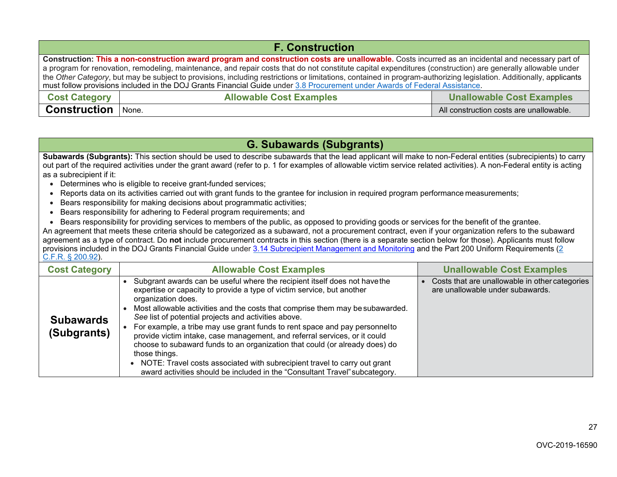| <b>F. Construction</b>                                                                                                                                                                                                                                                                             |                                                                    |                                         |  |
|----------------------------------------------------------------------------------------------------------------------------------------------------------------------------------------------------------------------------------------------------------------------------------------------------|--------------------------------------------------------------------|-----------------------------------------|--|
| Construction: This a non-construction award program and construction costs are unallowable. Costs incurred as an incidental and necessary part of                                                                                                                                                  |                                                                    |                                         |  |
| a program for renovation, remodeling, maintenance, and repair costs that do not constitute capital expenditures (construction) are generally allowable under                                                                                                                                       |                                                                    |                                         |  |
| the Other Category, but may be subject to provisions, including restrictions or limitations, contained in program-authorizing legislation. Additionally, applicants<br>must follow provisions included in the DOJ Grants Financial Guide under 3.8 Procurement under Awards of Federal Assistance. |                                                                    |                                         |  |
| <b>Cost Category</b>                                                                                                                                                                                                                                                                               | <b>Unallowable Cost Examples</b><br><b>Allowable Cost Examples</b> |                                         |  |
| <b>Construction</b>                                                                                                                                                                                                                                                                                | None.                                                              | All construction costs are unallowable. |  |

# **G. Subawards (Subgrants)**

 **Subawards (Subgrants):** This section should be used to describe subawards that the lead applicant will make to non-Federal entities (subrecipients) to carry out part of the required activities under the grant award (refer to p. 1 for examples of allowable victim service related activities). A non-Federal entity is acting as a subrecipient if it:

- Determines who is eligible to receive grant-funded services;
- Reports data on its activities carried out with grant funds to the grantee for inclusion in required program performance measurements;
- Bears responsibility for making decisions about programmatic activities;
- Bears responsibility for adhering to Federal program requirements; and
- Bears responsibility for providing services to members of the public, as opposed to providing goods or services for the benefit of the grantee.

 An agreement that meets these criteria should be categorized as a subaward, not a procurement contract, even if your organization refers to the subaward agreement as a type of contract. Do **not** include procurement contracts in this section (there is a separate section below for those). Applicants must follow provisions included in the DOJ Grants Financial Guide under <u>3.14 Subrecipient Management and Monitoring</u> and the Part 200 Uniform Requirements (<u>2</u> [C.F.R. § 200.92\)](https://www.ecfr.gov/cgi-bin/retrieveECFR?gp&SID=870db2718d81511f58f280c0fdc0957d&n=pt2.1.200&r=PART&ty=HTML%20-%20se2.1.200_1474%20-%20se2.1.200_1474%20-%20se2.1.200_133&se2.1.200_192).

| <b>Cost Category</b>            | <b>Allowable Cost Examples</b>                                                                                                                                                                                                                                                                                                                                                                                                                                                                                                                                                                                                                                                                                                              | <b>Unallowable Cost Examples</b>                                                   |
|---------------------------------|---------------------------------------------------------------------------------------------------------------------------------------------------------------------------------------------------------------------------------------------------------------------------------------------------------------------------------------------------------------------------------------------------------------------------------------------------------------------------------------------------------------------------------------------------------------------------------------------------------------------------------------------------------------------------------------------------------------------------------------------|------------------------------------------------------------------------------------|
| <b>Subawards</b><br>(Subgrants) | Subgrant awards can be useful where the recipient itself does not have the<br>expertise or capacity to provide a type of victim service, but another<br>organization does.<br>Most allowable activities and the costs that comprise them may be subawarded.<br>See list of potential projects and activities above.<br>For example, a tribe may use grant funds to rent space and pay personnelto<br>provide victim intake, case management, and referral services, or it could<br>choose to subaward funds to an organization that could (or already does) do<br>those things.<br>NOTE: Travel costs associated with subrecipient travel to carry out grant<br>award activities should be included in the "Consultant Travel" subcategory. | Costs that are unallowable in other categories<br>are unallowable under subawards. |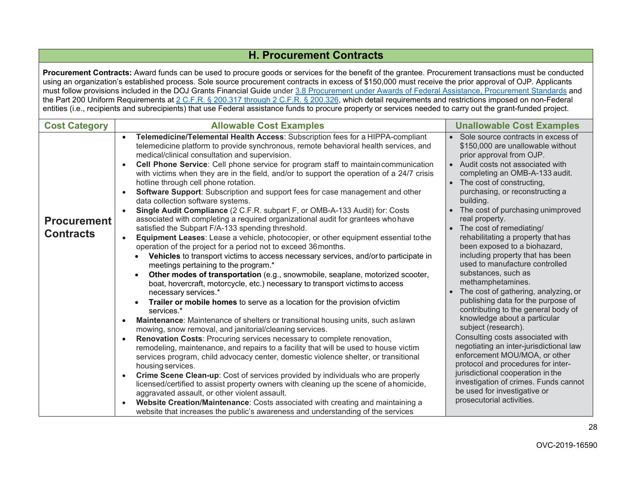# **H. Procurement Contracts**

 **Procurement Contracts:** Award funds can be used to procure goods or services for the benefit of the grantee. Procurement transactions must be conducted using an organization's established process. Sole source procurement contracts in excess of \$150,000 must receive the prior approval of OJP. Applicants must follow provisions included in the DOJ Grants Financial Guide under <u>3.8 Procurement under Awards of Federal Assistance, Procurement Standards</u> and the Part 200 Uniform Requirements at <u>2 C.F.R. § 200.317 through 2 C.F.R. § 200.326,</u> which detail requirements and restrictions imposed on non-Federal entities (i.e., recipients and subrecipients) that use Federal assistance funds to procure property or services needed to carry out the grant-funded project.

| <b>Cost Category</b>                   | <b>Allowable Cost Examples</b>                                                                                                                                                                                                                                                                                                                                                                                                                                                                                                                                                                                                                                                                                                                                                                                                                                                                                                                                                                                                                                                                                                                                                                                                                                                                                                                                                                                                                                                                                                                                                                                                                                                                                                                                                                                                                                                                                                                                                                                                                                                                                                                                                                                                                                                                                        | <b>Unallowable Cost Examples</b>                                                                                                                                                                                                                                                                                                                                                                                                                                                                                                                                                                                                                                                                                                                                                                                                                                                                                                                                                                                                   |
|----------------------------------------|-----------------------------------------------------------------------------------------------------------------------------------------------------------------------------------------------------------------------------------------------------------------------------------------------------------------------------------------------------------------------------------------------------------------------------------------------------------------------------------------------------------------------------------------------------------------------------------------------------------------------------------------------------------------------------------------------------------------------------------------------------------------------------------------------------------------------------------------------------------------------------------------------------------------------------------------------------------------------------------------------------------------------------------------------------------------------------------------------------------------------------------------------------------------------------------------------------------------------------------------------------------------------------------------------------------------------------------------------------------------------------------------------------------------------------------------------------------------------------------------------------------------------------------------------------------------------------------------------------------------------------------------------------------------------------------------------------------------------------------------------------------------------------------------------------------------------------------------------------------------------------------------------------------------------------------------------------------------------------------------------------------------------------------------------------------------------------------------------------------------------------------------------------------------------------------------------------------------------------------------------------------------------------------------------------------------------|------------------------------------------------------------------------------------------------------------------------------------------------------------------------------------------------------------------------------------------------------------------------------------------------------------------------------------------------------------------------------------------------------------------------------------------------------------------------------------------------------------------------------------------------------------------------------------------------------------------------------------------------------------------------------------------------------------------------------------------------------------------------------------------------------------------------------------------------------------------------------------------------------------------------------------------------------------------------------------------------------------------------------------|
| <b>Procurement</b><br><b>Contracts</b> | Telemedicine/Telemental Health Access: Subscription fees for a HIPPA-compliant<br>$\bullet$<br>telemedicine platform to provide synchronous, remote behavioral health services, and<br>medical/clinical consultation and supervision.<br>Cell Phone Service: Cell phone service for program staff to maintain communication<br>$\bullet$<br>with victims when they are in the field, and/or to support the operation of a 24/7 crisis<br>hotline through cell phone rotation.<br>Software Support: Subscription and support fees for case management and other<br>$\bullet$<br>data collection software systems.<br>Single Audit Compliance (2 C.F.R. subpart F, or OMB-A-133 Audit) for: Costs<br>associated with completing a required organizational audit for grantees who have<br>satisfied the Subpart F/A-133 spending threshold.<br>Equipment Leases: Lease a vehicle, photocopier, or other equipment essential tothe<br>$\bullet$<br>operation of the project for a period not to exceed 36 months.<br>Vehicles to transport victims to access necessary services, and/or to participate in<br>meetings pertaining to the program.*<br>Other modes of transportation (e.g., snowmobile, seaplane, motorized scooter,<br>boat, hovercraft, motorcycle, etc.) necessary to transport victims to access<br>necessary services.*<br>Trailer or mobile homes to serve as a location for the provision of victim<br>services.*<br>Maintenance: Maintenance of shelters or transitional housing units, such as lawn<br>$\bullet$<br>mowing, snow removal, and janitorial/cleaning services.<br>Renovation Costs: Procuring services necessary to complete renovation,<br>$\bullet$<br>remodeling, maintenance, and repairs to a facility that will be used to house victim<br>services program, child advocacy center, domestic violence shelter, or transitional<br>housing services.<br>Crime Scene Clean-up: Cost of services provided by individuals who are properly<br>$\bullet$<br>licensed/certified to assist property owners with cleaning up the scene of ahomicide,<br>aggravated assault, or other violent assault.<br>Website Creation/Maintenance: Costs associated with creating and maintaining a<br>$\bullet$<br>website that increases the public's awareness and understanding of the services | • Sole source contracts in excess of<br>\$150,000 are unallowable without<br>prior approval from OJP.<br>• Audit costs not associated with<br>completing an OMB-A-133 audit.<br>• The cost of constructing,<br>purchasing, or reconstructing a<br>building.<br>The cost of purchasing unimproved<br>real property.<br>• The cost of remediating/<br>rehabilitating a property that has<br>been exposed to a biohazard,<br>including property that has been<br>used to manufacture controlled<br>substances, such as<br>methamphetamines.<br>The cost of gathering, analyzing, or<br>$\bullet$<br>publishing data for the purpose of<br>contributing to the general body of<br>knowledge about a particular<br>subject (research).<br>Consulting costs associated with<br>negotiating an inter-jurisdictional law<br>enforcement MOU/MOA, or other<br>protocol and procedures for inter-<br>jurisdictional cooperation in the<br>investigation of crimes. Funds cannot<br>be used for investigative or<br>prosecutorial activities. |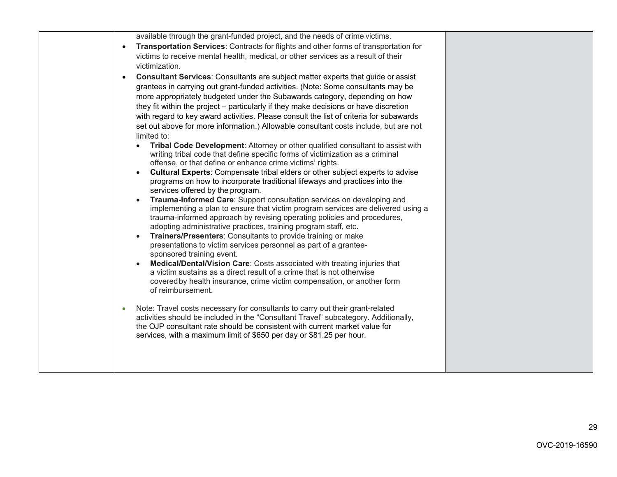| available through the grant-funded project, and the needs of crime victims.<br>Transportation Services: Contracts for flights and other forms of transportation for<br>$\bullet$<br>victims to receive mental health, medical, or other services as a result of their<br>victimization.<br><b>Consultant Services:</b> Consultants are subject matter experts that guide or assist<br>grantees in carrying out grant-funded activities. (Note: Some consultants may be<br>more appropriately budgeted under the Subawards category, depending on how<br>they fit within the project - particularly if they make decisions or have discretion<br>with regard to key award activities. Please consult the list of criteria for subawards<br>set out above for more information.) Allowable consultant costs include, but are not<br>limited to:<br>Tribal Code Development: Attorney or other qualified consultant to assist with<br>writing tribal code that define specific forms of victimization as a criminal<br>offense, or that define or enhance crime victims' rights.<br>Cultural Experts: Compensate tribal elders or other subject experts to advise<br>programs on how to incorporate traditional lifeways and practices into the<br>services offered by the program.<br>Trauma-Informed Care: Support consultation services on developing and<br>implementing a plan to ensure that victim program services are delivered using a<br>trauma-informed approach by revising operating policies and procedures,<br>adopting administrative practices, training program staff, etc.<br>Trainers/Presenters: Consultants to provide training or make<br>presentations to victim services personnel as part of a grantee-<br>sponsored training event.<br>Medical/Dental/Vision Care: Costs associated with treating injuries that<br>a victim sustains as a direct result of a crime that is not otherwise<br>covered by health insurance, crime victim compensation, or another form<br>of reimbursement.<br>Note: Travel costs necessary for consultants to carry out their grant-related<br>activities should be included in the "Consultant Travel" subcategory. Additionally,<br>the OJP consultant rate should be consistent with current market value for<br>services, with a maximum limit of \$650 per day or \$81.25 per hour. |  |
|-------------------------------------------------------------------------------------------------------------------------------------------------------------------------------------------------------------------------------------------------------------------------------------------------------------------------------------------------------------------------------------------------------------------------------------------------------------------------------------------------------------------------------------------------------------------------------------------------------------------------------------------------------------------------------------------------------------------------------------------------------------------------------------------------------------------------------------------------------------------------------------------------------------------------------------------------------------------------------------------------------------------------------------------------------------------------------------------------------------------------------------------------------------------------------------------------------------------------------------------------------------------------------------------------------------------------------------------------------------------------------------------------------------------------------------------------------------------------------------------------------------------------------------------------------------------------------------------------------------------------------------------------------------------------------------------------------------------------------------------------------------------------------------------------------------------------------------------------------------------------------------------------------------------------------------------------------------------------------------------------------------------------------------------------------------------------------------------------------------------------------------------------------------------------------------------------------------------------------------------------------------------------------------------------------------------------------------------------|--|
|                                                                                                                                                                                                                                                                                                                                                                                                                                                                                                                                                                                                                                                                                                                                                                                                                                                                                                                                                                                                                                                                                                                                                                                                                                                                                                                                                                                                                                                                                                                                                                                                                                                                                                                                                                                                                                                                                                                                                                                                                                                                                                                                                                                                                                                                                                                                                 |  |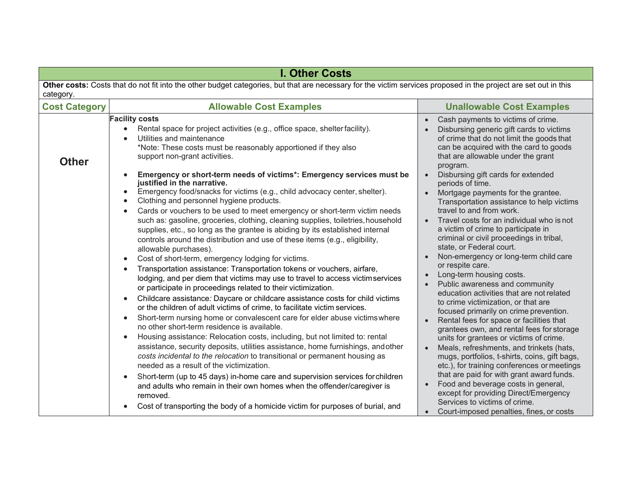|                                                                                                                                                                              | <b>I. Other Costs</b>                                                                                                                                                                                                                                                                                                                                                                                                                                                                                                                                                                                                                                                                                                                                                                                                                                                                                                                                                                                                                                                                                                                                                                                                                                                                                                                                                                                                                                                                                                                                                                                                                                                                                                                                                                                                                                                                                                                                                                                                                |                                                                                                                                                                                                                                                                                                                                                                                                                                                                                                                                                                                                                                                                                                                                                                                                                                                                                                                                                                                                                                                                                                                                                                                                                                                                                                                              |  |  |
|------------------------------------------------------------------------------------------------------------------------------------------------------------------------------|--------------------------------------------------------------------------------------------------------------------------------------------------------------------------------------------------------------------------------------------------------------------------------------------------------------------------------------------------------------------------------------------------------------------------------------------------------------------------------------------------------------------------------------------------------------------------------------------------------------------------------------------------------------------------------------------------------------------------------------------------------------------------------------------------------------------------------------------------------------------------------------------------------------------------------------------------------------------------------------------------------------------------------------------------------------------------------------------------------------------------------------------------------------------------------------------------------------------------------------------------------------------------------------------------------------------------------------------------------------------------------------------------------------------------------------------------------------------------------------------------------------------------------------------------------------------------------------------------------------------------------------------------------------------------------------------------------------------------------------------------------------------------------------------------------------------------------------------------------------------------------------------------------------------------------------------------------------------------------------------------------------------------------------|------------------------------------------------------------------------------------------------------------------------------------------------------------------------------------------------------------------------------------------------------------------------------------------------------------------------------------------------------------------------------------------------------------------------------------------------------------------------------------------------------------------------------------------------------------------------------------------------------------------------------------------------------------------------------------------------------------------------------------------------------------------------------------------------------------------------------------------------------------------------------------------------------------------------------------------------------------------------------------------------------------------------------------------------------------------------------------------------------------------------------------------------------------------------------------------------------------------------------------------------------------------------------------------------------------------------------|--|--|
| Other costs: Costs that do not fit into the other budget categories, but that are necessary for the victim services proposed in the project are set out in this<br>category. |                                                                                                                                                                                                                                                                                                                                                                                                                                                                                                                                                                                                                                                                                                                                                                                                                                                                                                                                                                                                                                                                                                                                                                                                                                                                                                                                                                                                                                                                                                                                                                                                                                                                                                                                                                                                                                                                                                                                                                                                                                      |                                                                                                                                                                                                                                                                                                                                                                                                                                                                                                                                                                                                                                                                                                                                                                                                                                                                                                                                                                                                                                                                                                                                                                                                                                                                                                                              |  |  |
| <b>Cost Category</b>                                                                                                                                                         | <b>Allowable Cost Examples</b>                                                                                                                                                                                                                                                                                                                                                                                                                                                                                                                                                                                                                                                                                                                                                                                                                                                                                                                                                                                                                                                                                                                                                                                                                                                                                                                                                                                                                                                                                                                                                                                                                                                                                                                                                                                                                                                                                                                                                                                                       | <b>Unallowable Cost Examples</b>                                                                                                                                                                                                                                                                                                                                                                                                                                                                                                                                                                                                                                                                                                                                                                                                                                                                                                                                                                                                                                                                                                                                                                                                                                                                                             |  |  |
| <b>Other</b>                                                                                                                                                                 | <b>Facility costs</b><br>Rental space for project activities (e.g., office space, shelter facility).<br>Utilities and maintenance<br>*Note: These costs must be reasonably apportioned if they also<br>support non-grant activities.<br>Emergency or short-term needs of victims*: Emergency services must be<br>justified in the narrative.<br>Emergency food/snacks for victims (e.g., child advocacy center, shelter).<br>Clothing and personnel hygiene products.<br>Cards or vouchers to be used to meet emergency or short-term victim needs<br>$\bullet$<br>such as: gasoline, groceries, clothing, cleaning supplies, toiletries, household<br>supplies, etc., so long as the grantee is abiding by its established internal<br>controls around the distribution and use of these items (e.g., eligibility,<br>allowable purchases).<br>Cost of short-term, emergency lodging for victims.<br>$\bullet$<br>Transportation assistance: Transportation tokens or vouchers, airfare,<br>lodging, and per diem that victims may use to travel to access victimservices<br>or participate in proceedings related to their victimization.<br>Childcare assistance: Daycare or childcare assistance costs for child victims<br>$\bullet$<br>or the children of adult victims of crime, to facilitate victim services.<br>Short-term nursing home or convalescent care for elder abuse victims where<br>$\bullet$<br>no other short-term residence is available.<br>Housing assistance: Relocation costs, including, but not limited to: rental<br>$\bullet$<br>assistance, security deposits, utilities assistance, home furnishings, and other<br>costs incidental to the relocation to transitional or permanent housing as<br>needed as a result of the victimization.<br>Short-term (up to 45 days) in-home care and supervision services for children<br>and adults who remain in their own homes when the offender/caregiver is<br>removed.<br>Cost of transporting the body of a homicide victim for purposes of burial, and | Cash payments to victims of crime.<br>Disbursing generic gift cards to victims<br>of crime that do not limit the goods that<br>can be acquired with the card to goods<br>that are allowable under the grant<br>program.<br>Disbursing gift cards for extended<br>periods of time.<br>Mortgage payments for the grantee.<br>$\bullet$<br>Transportation assistance to help victims<br>travel to and from work.<br>Travel costs for an individual who is not<br>a victim of crime to participate in<br>criminal or civil proceedings in tribal,<br>state, or Federal court.<br>Non-emergency or long-term child care<br>or respite care.<br>Long-term housing costs.<br>Public awareness and community<br>education activities that are not related<br>to crime victimization, or that are<br>focused primarily on crime prevention.<br>Rental fees for space or facilities that<br>grantees own, and rental fees for storage<br>units for grantees or victims of crime.<br>Meals, refreshments, and trinkets (hats,<br>mugs, portfolios, t-shirts, coins, gift bags,<br>etc.), for training conferences or meetings<br>that are paid for with grant award funds.<br>Food and beverage costs in general,<br>except for providing Direct/Emergency<br>Services to victims of crime.<br>Court-imposed penalties, fines, or costs |  |  |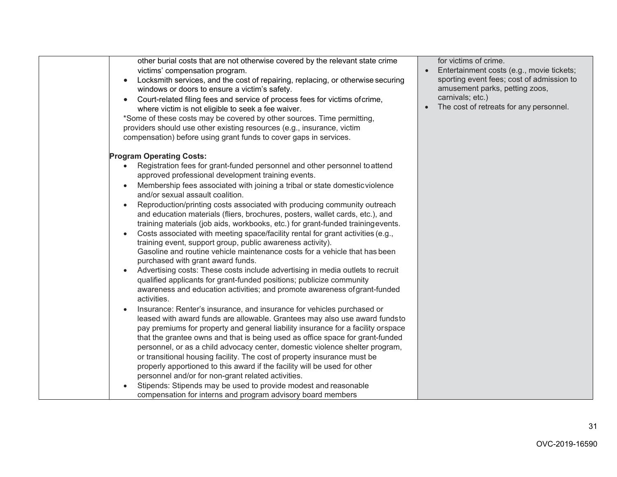| other burial costs that are not otherwise covered by the relevant state crime<br>victims' compensation program.<br>Locksmith services, and the cost of repairing, replacing, or otherwise securing<br>$\bullet$<br>windows or doors to ensure a victim's safety.<br>Court-related filing fees and service of process fees for victims of crime,<br>$\bullet$<br>where victim is not eligible to seek a fee waiver.<br>*Some of these costs may be covered by other sources. Time permitting,<br>providers should use other existing resources (e.g., insurance, victim<br>compensation) before using grant funds to cover gaps in services.                                                                                                                                                                                                                                                                                                                                                                                                                                                                                                                                                                                                                                                                                                                                                                                                                                                                                                                                                                                                                                                                                                                                                                                                                                                      | for victims of crime.<br>Entertainment costs (e.g., movie tickets;<br>sporting event fees; cost of admission to<br>amusement parks, petting zoos,<br>carnivals; etc.)<br>The cost of retreats for any personnel. |
|--------------------------------------------------------------------------------------------------------------------------------------------------------------------------------------------------------------------------------------------------------------------------------------------------------------------------------------------------------------------------------------------------------------------------------------------------------------------------------------------------------------------------------------------------------------------------------------------------------------------------------------------------------------------------------------------------------------------------------------------------------------------------------------------------------------------------------------------------------------------------------------------------------------------------------------------------------------------------------------------------------------------------------------------------------------------------------------------------------------------------------------------------------------------------------------------------------------------------------------------------------------------------------------------------------------------------------------------------------------------------------------------------------------------------------------------------------------------------------------------------------------------------------------------------------------------------------------------------------------------------------------------------------------------------------------------------------------------------------------------------------------------------------------------------------------------------------------------------------------------------------------------------|------------------------------------------------------------------------------------------------------------------------------------------------------------------------------------------------------------------|
| <b>Program Operating Costs:</b><br>Registration fees for grant-funded personnel and other personnel to attend<br>approved professional development training events.<br>Membership fees associated with joining a tribal or state domestic violence<br>$\bullet$<br>and/or sexual assault coalition.<br>Reproduction/printing costs associated with producing community outreach<br>$\bullet$<br>and education materials (fliers, brochures, posters, wallet cards, etc.), and<br>training materials (job aids, workbooks, etc.) for grant-funded training events.<br>Costs associated with meeting space/facility rental for grant activities (e.g.,<br>$\bullet$<br>training event, support group, public awareness activity).<br>Gasoline and routine vehicle maintenance costs for a vehicle that has been<br>purchased with grant award funds.<br>Advertising costs: These costs include advertising in media outlets to recruit<br>$\bullet$<br>qualified applicants for grant-funded positions; publicize community<br>awareness and education activities; and promote awareness of grant-funded<br>activities.<br>Insurance: Renter's insurance, and insurance for vehicles purchased or<br>$\bullet$<br>leased with award funds are allowable. Grantees may also use award fundsto<br>pay premiums for property and general liability insurance for a facility orspace<br>that the grantee owns and that is being used as office space for grant-funded<br>personnel, or as a child advocacy center, domestic violence shelter program,<br>or transitional housing facility. The cost of property insurance must be<br>properly apportioned to this award if the facility will be used for other<br>personnel and/or for non-grant related activities.<br>Stipends: Stipends may be used to provide modest and reasonable<br>compensation for interns and program advisory board members |                                                                                                                                                                                                                  |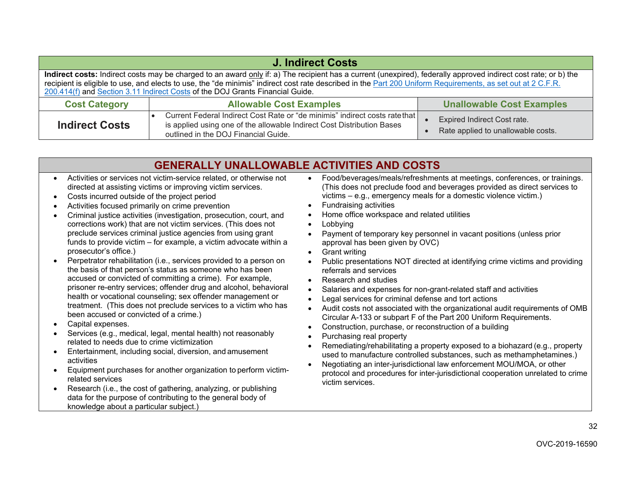| <b>J. Indirect Costs</b>                                                                                                                                                                                                                                                                                                                                                                                        |                                                                                                                                                                                               |                                                                          |  |  |  |  |
|-----------------------------------------------------------------------------------------------------------------------------------------------------------------------------------------------------------------------------------------------------------------------------------------------------------------------------------------------------------------------------------------------------------------|-----------------------------------------------------------------------------------------------------------------------------------------------------------------------------------------------|--------------------------------------------------------------------------|--|--|--|--|
| Indirect costs: Indirect costs may be charged to an award only if: a) The recipient has a current (unexpired), federally approved indirect cost rate; or b) the<br>recipient is eligible to use, and elects to use, the "de minimis" indirect cost rate described in the Part 200 Uniform Requirements, as set out at 2 C.F.R.<br>200.414(f) and Section 3.11 Indirect Costs of the DOJ Grants Financial Guide. |                                                                                                                                                                                               |                                                                          |  |  |  |  |
| <b>Cost Category</b>                                                                                                                                                                                                                                                                                                                                                                                            | <b>Allowable Cost Examples</b>                                                                                                                                                                | <b>Unallowable Cost Examples</b>                                         |  |  |  |  |
| <b>Indirect Costs</b>                                                                                                                                                                                                                                                                                                                                                                                           | Current Federal Indirect Cost Rate or "de minimis" indirect costs rate that<br>is applied using one of the allowable Indirect Cost Distribution Bases<br>outlined in the DOJ Financial Guide. | <b>Expired Indirect Cost rate.</b><br>Rate applied to unallowable costs. |  |  |  |  |

# **GENERALLY UNALLOWABLE ACTIVITIES AND COSTS**

- Activities or services not victim-service related, or otherwise not directed at assisting victims or improving victim services. •
- Costs incurred outside of the project period •
- Activities focused primarily on crime prevention **Fundraising activities •** Fundraising activities •
- Criminal justice activities (investigation, prosecution, court, and Home office workspace and related utilities<br>corrections work) that are not victim services. (This does not Lobbying corrections work) that are not victim services. (This does not preclude services criminal justice agencies from using grant funds to provide victim – for example, a victim advocate within a  $\qquad \qquad$  approval has been given by OVC) prosecutor's office.) • Grant writing •
- Perpetrator rehabilitation (i.e., services provided to a person on the basis of that person's status as someone who has been referrals and services accused or convicted of committing a crime). For example, • Research and studies prisoner re-entry services; offender drug and alcohol, behavioral health or vocational counseling; sex offender management or treatment. (This does not preclude services to a victim who has prisoner re-entry services; offender drug and alcohol, behavioral • Salaries and expenses for non-grant-related staff and activities •
- •
- Services
- Entertainment, including social,
- Equipment purchases for another organization to perform victim-•
- Research (i.e., the cost of gathering, analyzing, or publishing data for the purpose of contributing to the general body of knowledge about a particular subject.) •
- Activities or services not victim-service related, or otherwise not Food/beverages/meals/refreshments at meetings, conferences, or trainings. directed at assisting victims or improving victim services. (This does not preclude food and beverages provided as direct services to Costs incurred outside of the project period victims – e.g., emergency meals for a domestic violence victim.)
	-
	- Home office workspace and related utilities
	-
- preclude services criminal justice agencies from using grant Payment of temporary key personnel in vacant positions (unless prior approval has been given by OVC)
	- **Grant writing**
- Perpetrator rehabilitation (i.e., services provided to a person on Public presentations NOT directed at identifying crime victims and providing
	-
	-
	- Legal services for criminal defense and tort actions
	- Audit costs not associated with the organizational audit requirements of OMB Circular A-133 or subpart F of the Part 200 Uniform Requirements.
	- Construction, purchase, or reconstruction of a building
	-
	- Remediating/rehabilitating a property exposed to a biohazard (e.g., property used to manufacture controlled substances, such as methamphetamines.)
- Negotiating an inter-jurisdictional law enforcement MOU/MOA, or other protocol and procedures for inter-jurisdictional cooperation unrelated to crime Nealth or vocational counseling; sex offender management of the same of the pair and defense and tot actions<br>
treatment. (This does not preclude services to a victim who has<br>
been accused or constructed of a crime.)<br>
Capit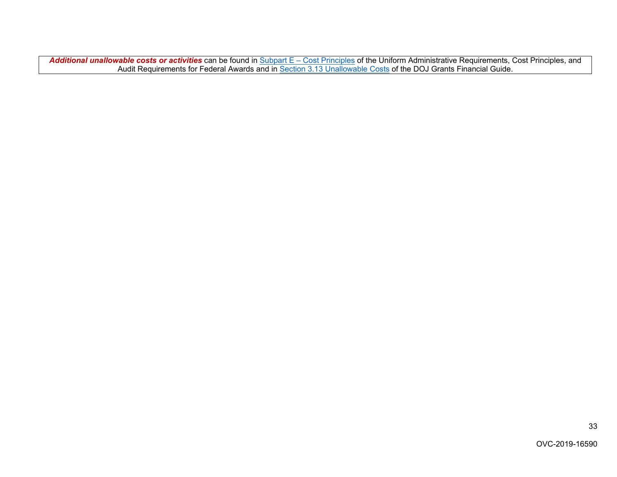*Additional unallowable costs or activities* can be found in [Subpart E – Cost Principles o](https://www.ecfr.gov/cgi-bin/text-idx?node=2%3A1.1.2.2.1.5&rgn=div6&se2.1.200_1410)f the Uniform Administrative Requirements, Cost Principles, and Audit Requirements for Federal Awards and in [Section 3.13 Unallowable Costs o](https://ojp.gov/financialguide/DOJ/PostawardRequirements/chapter3.13a.htm)f the DOJ Grants Financial Guide.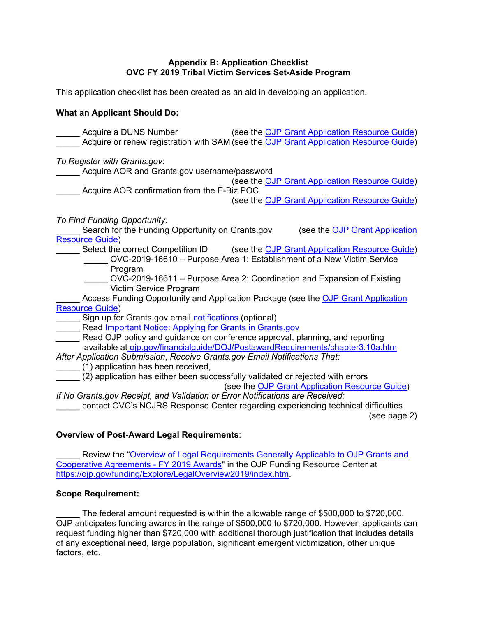#### **Appendix B: Application Checklist OVC FY 2019 Tribal Victim Services Set-Aside Program**

<span id="page-33-0"></span>This application checklist has been created as an aid in developing an application.

#### **What an Applicant Should Do:**

**Select the correct Competition ID** \_\_\_\_\_ Sign up for Grants.gov email <u>notifications</u> (optional) available at <u>ojp.gov/financialguide/DOJ/PostawardRequirements/chapter3.10a.htm</u> Acquire a DUNS Number (see the [OJP Grant Application Resource Guide\)](https://www.ojp.gov/funding/Apply/Resources/Grant-App-Resource-Guide.htm) Acquire or renew registration with SAM (see the [OJP Grant Application Resource Guide\)](https://www.ojp.gov/funding/Apply/Resources/Grant-App-Resource-Guide.htm) *To Register with [Grants.gov](https://Grants.gov)*: Acquire AOR and [Grants.gov](https://Grants.gov) username/password (see the [OJP Grant Application Resource Guide\)](https://www.ojp.gov/funding/Apply/Resources/Grant-App-Resource-Guide.htm) Acquire AOR confirmation from the E-Biz POC (see the [OJP Grant Application Resource Guide\)](https://www.ojp.gov/funding/Apply/Resources/Grant-App-Resource-Guide.htm) *To Find Funding Opportunity:*  Search for the Funding Opportunity on [Grants.gov](https://Grants.gov) (see the OJP Grant Application [Resource Guide\)](https://www.ojp.gov/funding/Apply/Resources/Grant-App-Resource-Guide.htm) (see the [OJP Grant Application Resource Guide\)](https://www.ojp.gov/funding/Apply/Resources/Grant-App-Resource-Guide.htm) \_\_\_\_\_ OVC-2019-16610 – Purpose Area 1: Establishment of a New Victim Service Program OVC-2019-16611 – Purpose Area 2: Coordination and Expansion of Existing Victim Service Program Access Funding Opportunity and Application Package (see the OJP Grant Application [Resource Guide\)](https://www.ojp.gov/funding/Apply/Resources/Grant-App-Resource-Guide.htm) Read Important Notice: Applying for Grants in Grants.gov Read OJP policy and guidance on conference approval, planning, and reporting *After Application Submission*, *Receive [Grants.gov](https://Grants.gov) Email Notifications That:*  \_\_\_\_\_ (1) application has been received, (2) application has either been successfully validated or rejected with errors (see the [OJP Grant Application Resource Guide\)](https://www.ojp.gov/funding/Apply/Resources/Grant-App-Resource-Guide.htm) *If No [Grants.gov](https://Grants.gov) Receipt, and Validation or Error Notifications are Received:*  contact OVC's NCJRS Response Center regarding experiencing technical difficulties (see page 2)

#### **Overview of Post-Award Legal Requirements**:

Review the "Overview of Legal Requirements Generally Applicable to OJP Grants and [Cooperative Agreements -](https://ojp.gov/funding/Explore/LegalOverview2019/index.htm) FY 2019 Awards" in the OJP Funding Resource Center at [https://ojp.gov/funding/Explore/LegalOverview2019/index.htm.](https://ojp.gov/funding/Explore/LegalOverview2019/index.htm)

#### **Scope Requirement:**

 \_\_\_\_\_ The federal amount requested is within the allowable range of \$500,000 to \$720,000. factors, etc. OJP anticipates funding awards in the range of \$500,000 to \$720,000. However, applicants can request funding higher than \$720,000 with additional thorough justification that includes details of any exceptional need, large population, significant emergent victimization, other unique